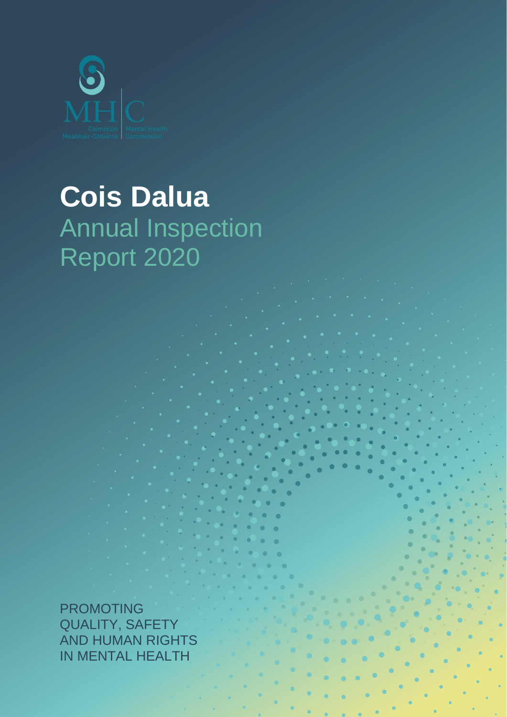

# **Cois Dalua** Annual Inspection Report 2020

PROMOTING QUALITY, SAFETY AND HUMAN RIGHTS IN MENTAL HEALTH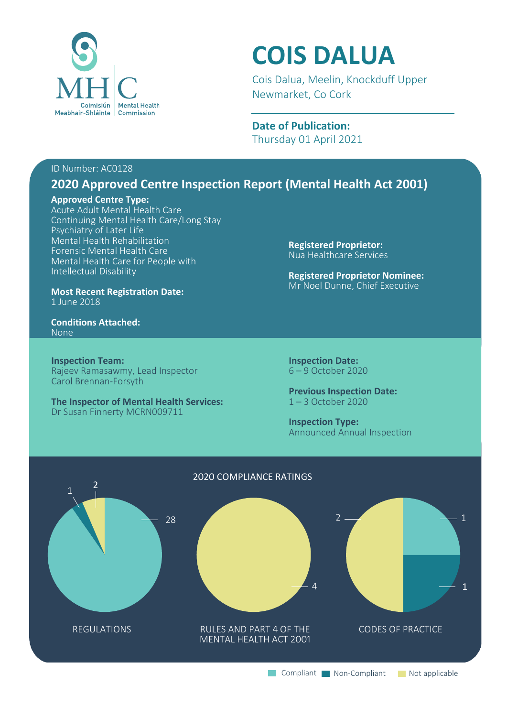

# **COIS DALUA**

Cois Dalua, Meelin, Knockduff Upper Newmarket, Co Cork

**Date of Publication:** Thursday 01 April 2021

#### ID Number: AC0128

# **2020 Approved Centre Inspection Report (Mental Health Act 2001)**

#### **Approved Centre Type:**

Acute Adult Mental Health Care Continuing Mental Health Care/Long Stay Psychiatry of Later Life Mental Health Rehabilitation Forensic Mental Health Care Mental Health Care for People with Intellectual Disability

**Most Recent Registration Date:** 1 June 2018

**Conditions Attached:** None

**Inspection Team:** Rajeev Ramasawmy, Lead Inspector Carol Brennan-Forsyth

**The Inspector of Mental Health Services:** Dr Susan Finnerty MCRN009711

**Registered Proprietor:** Nua Healthcare Services

**Registered Proprietor Nominee:** Mr Noel Dunne, Chief Executive

**Inspection Date:** 6 – 9 October 2020

**Previous Inspection Date:** 1 – 3 October 2020

**Inspection Type:** Announced Annual Inspection

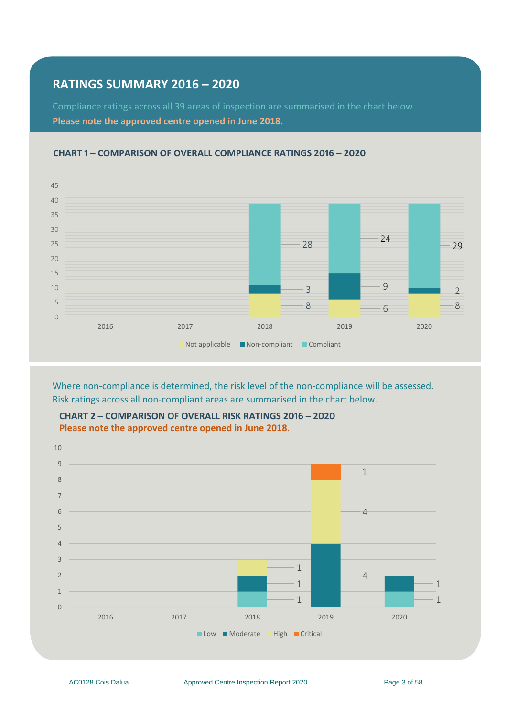## **RATINGS SUMMARY 2016 – 2020**

Compliance ratings across all 39 areas of inspection are summarised in the chart below. **Please note the approved centre opened in June 2018.** 



#### **CHART 1 – COMPARISON OF OVERALL COMPLIANCE RATINGS 2016 – 2020**

Where non-compliance is determined, the risk level of the non-compliance will be assessed. Risk ratings across all non-compliant areas are summarised in the chart below.



**CHART 2 – COMPARISON OF OVERALL RISK RATINGS 2016 – 2020 Please note the approved centre opened in June 2018.**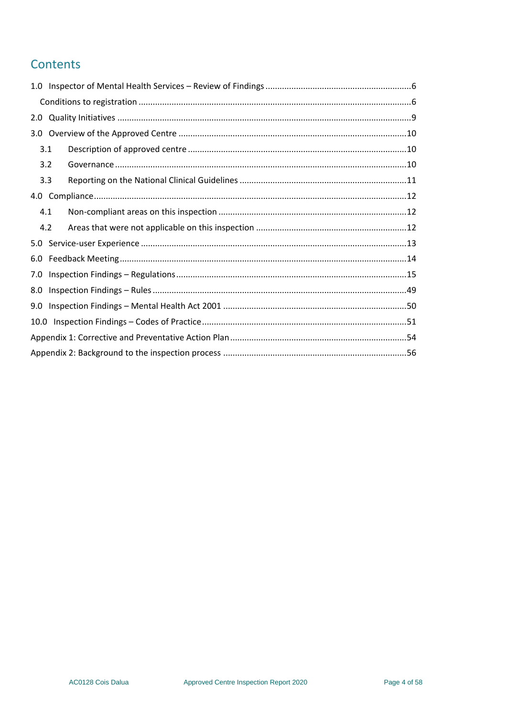# Contents

| 3.1 |  |
|-----|--|
| 3.2 |  |
| 3.3 |  |
|     |  |
| 4.1 |  |
| 4.2 |  |
|     |  |
|     |  |
|     |  |
| 8.0 |  |
|     |  |
|     |  |
|     |  |
|     |  |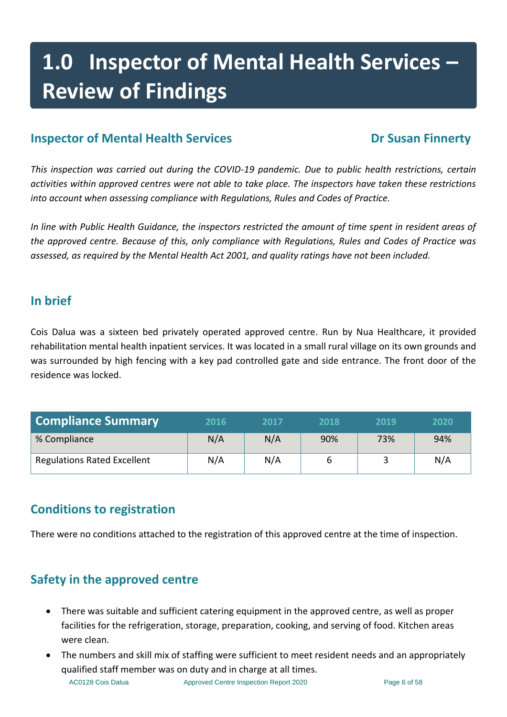# **1.0 Inspector of Mental Health Services – Review of Findings**

# **Inspector of Mental Health Services Dr Susan Finnerty**

*This inspection was carried out during the COVID-19 pandemic. Due to public health restrictions, certain activities within approved centres were not able to take place. The inspectors have taken these restrictions into account when assessing compliance with Regulations, Rules and Codes of Practice.*

*In line with Public Health Guidance, the inspectors restricted the amount of time spent in resident areas of the approved centre. Because of this, only compliance with Regulations, Rules and Codes of Practice was assessed, as required by the Mental Health Act 2001, and quality ratings have not been included.*

# **In brief**

Cois Dalua was a sixteen bed privately operated approved centre. Run by Nua Healthcare, it provided rehabilitation mental health inpatient services. It was located in a small rural village on its own grounds and was surrounded by high fencing with a key pad controlled gate and side entrance. The front door of the residence was locked.

| <b>Compliance Summary</b>          | 2016 | 2017 | 2018 | 2019 | 2020 |
|------------------------------------|------|------|------|------|------|
| % Compliance                       | N/A  | N/A  | 90%  | 73%  | 94%  |
| <b>Regulations Rated Excellent</b> | N/A  | N/A  |      |      | N/A  |

# <span id="page-5-0"></span>**Conditions to registration**

There were no conditions attached to the registration of this approved centre at the time of inspection.

# **Safety in the approved centre**

- There was suitable and sufficient catering equipment in the approved centre, as well as proper facilities for the refrigeration, storage, preparation, cooking, and serving of food. Kitchen areas were clean.
- The numbers and skill mix of staffing were sufficient to meet resident needs and an appropriately qualified staff member was on duty and in charge at all times.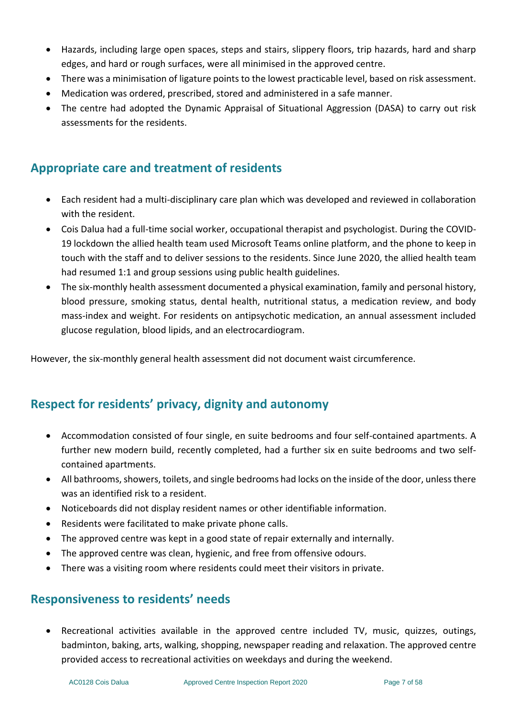- Hazards, including large open spaces, steps and stairs, slippery floors, trip hazards, hard and sharp edges, and hard or rough surfaces, were all minimised in the approved centre.
- There was a minimisation of ligature points to the lowest practicable level, based on risk assessment.
- Medication was ordered, prescribed, stored and administered in a safe manner.
- The centre had adopted the Dynamic Appraisal of Situational Aggression (DASA) to carry out risk assessments for the residents.

# **Appropriate care and treatment of residents**

- Each resident had a multi-disciplinary care plan which was developed and reviewed in collaboration with the resident.
- Cois Dalua had a full-time social worker, occupational therapist and psychologist. During the COVID-19 lockdown the allied health team used Microsoft Teams online platform, and the phone to keep in touch with the staff and to deliver sessions to the residents. Since June 2020, the allied health team had resumed 1:1 and group sessions using public health guidelines.
- The six-monthly health assessment documented a physical examination, family and personal history, blood pressure, smoking status, dental health, nutritional status, a medication review, and body mass-index and weight. For residents on antipsychotic medication, an annual assessment included glucose regulation, blood lipids, and an electrocardiogram.

However, the six-monthly general health assessment did not document waist circumference.

# **Respect for residents' privacy, dignity and autonomy**

- Accommodation consisted of four single, en suite bedrooms and four self-contained apartments. A further new modern build, recently completed, had a further six en suite bedrooms and two selfcontained apartments.
- All bathrooms, showers, toilets, and single bedrooms had locks on the inside of the door, unless there was an identified risk to a resident.
- Noticeboards did not display resident names or other identifiable information.
- Residents were facilitated to make private phone calls.
- The approved centre was kept in a good state of repair externally and internally.
- The approved centre was clean, hygienic, and free from offensive odours.
- There was a visiting room where residents could meet their visitors in private.

#### **Responsiveness to residents' needs**

• Recreational activities available in the approved centre included TV, music, quizzes, outings, badminton, baking, arts, walking, shopping, newspaper reading and relaxation. The approved centre provided access to recreational activities on weekdays and during the weekend.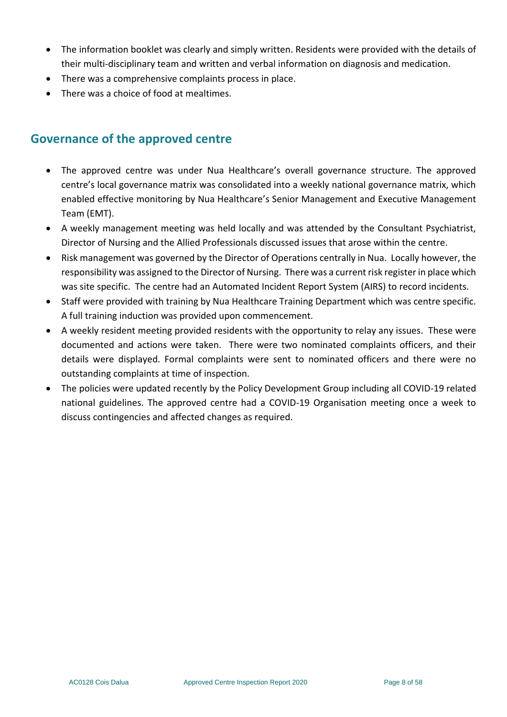- The information booklet was clearly and simply written. Residents were provided with the details of their multi-disciplinary team and written and verbal information on diagnosis and medication.
- There was a comprehensive complaints process in place.
- There was a choice of food at mealtimes.

# **Governance of the approved centre**

- The approved centre was under Nua Healthcare's overall governance structure. The approved centre's local governance matrix was consolidated into a weekly national governance matrix, which enabled effective monitoring by Nua Healthcare's Senior Management and Executive Management Team (EMT).
- A weekly management meeting was held locally and was attended by the Consultant Psychiatrist, Director of Nursing and the Allied Professionals discussed issues that arose within the centre.
- Risk management was governed by the Director of Operations centrally in Nua. Locally however, the responsibility was assigned to the Director of Nursing. There was a current risk register in place which was site specific. The centre had an Automated Incident Report System (AIRS) to record incidents.
- Staff were provided with training by Nua Healthcare Training Department which was centre specific. A full training induction was provided upon commencement.
- A weekly resident meeting provided residents with the opportunity to relay any issues. These were documented and actions were taken. There were two nominated complaints officers, and their details were displayed. Formal complaints were sent to nominated officers and there were no outstanding complaints at time of inspection.
- The policies were updated recently by the Policy Development Group including all COVID-19 related national guidelines. The approved centre had a COVID-19 Organisation meeting once a week to discuss contingencies and affected changes as required.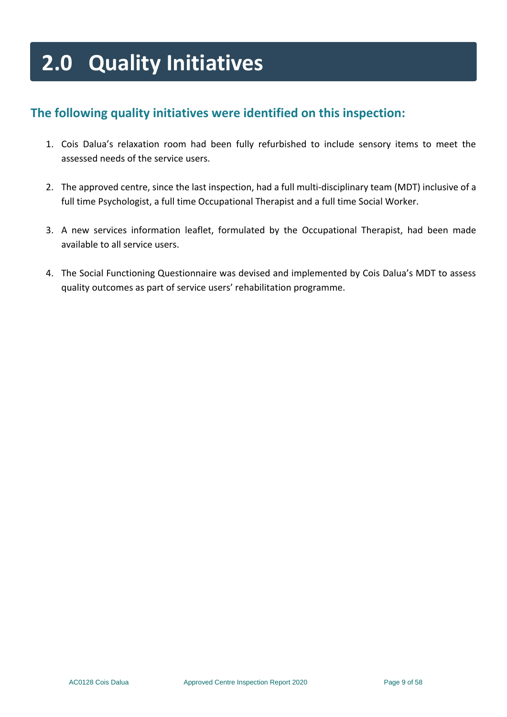# **2.0 Quality Initiatives**

# **The following quality initiatives were identified on this inspection:**

- 1. Cois Dalua's relaxation room had been fully refurbished to include sensory items to meet the assessed needs of the service users.
- 2. The approved centre, since the last inspection, had a full multi-disciplinary team (MDT) inclusive of a full time Psychologist, a full time Occupational Therapist and a full time Social Worker.
- 3. A new services information leaflet, formulated by the Occupational Therapist, had been made available to all service users.
- 4. The Social Functioning Questionnaire was devised and implemented by Cois Dalua's MDT to assess quality outcomes as part of service users' rehabilitation programme.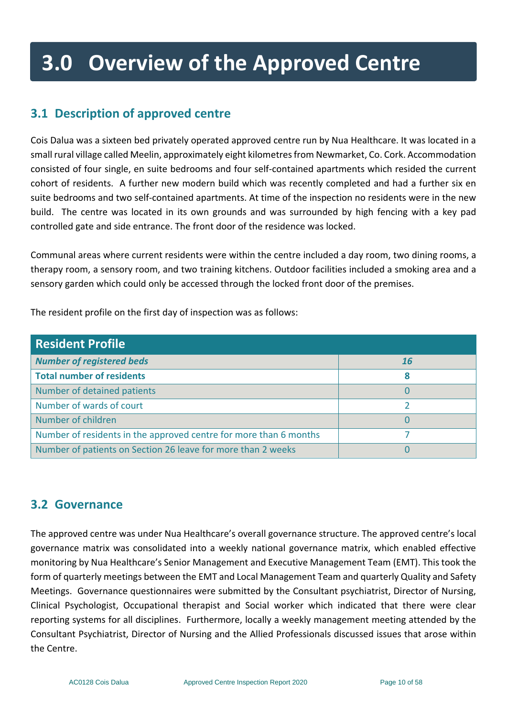# **3.0 Overview of the Approved Centre**

# <span id="page-9-0"></span>**3.1 Description of approved centre**

Cois Dalua was a sixteen bed privately operated approved centre run by Nua Healthcare. It was located in a small rural village called Meelin, approximately eight kilometres from Newmarket, Co. Cork. Accommodation consisted of four single, en suite bedrooms and four self-contained apartments which resided the current cohort of residents. A further new modern build which was recently completed and had a further six en suite bedrooms and two self-contained apartments. At time of the inspection no residents were in the new build. The centre was located in its own grounds and was surrounded by high fencing with a key pad controlled gate and side entrance. The front door of the residence was locked.

Communal areas where current residents were within the centre included a day room, two dining rooms, a therapy room, a sensory room, and two training kitchens. Outdoor facilities included a smoking area and a sensory garden which could only be accessed through the locked front door of the premises.

| <b>Resident Profile</b>                                           |           |
|-------------------------------------------------------------------|-----------|
| <b>Number of registered beds</b>                                  | <b>16</b> |
| Total number of residents                                         | 8         |
| Number of detained patients                                       |           |
| Number of wards of court                                          |           |
| Number of children                                                |           |
| Number of residents in the approved centre for more than 6 months |           |
| Number of patients on Section 26 leave for more than 2 weeks      |           |

The resident profile on the first day of inspection was as follows:

# <span id="page-9-1"></span>**3.2 Governance**

The approved centre was under Nua Healthcare's overall governance structure. The approved centre's local governance matrix was consolidated into a weekly national governance matrix, which enabled effective monitoring by Nua Healthcare's Senior Management and Executive Management Team (EMT). This took the form of quarterly meetings between the EMT and Local Management Team and quarterly Quality and Safety Meetings. Governance questionnaires were submitted by the Consultant psychiatrist, Director of Nursing, Clinical Psychologist, Occupational therapist and Social worker which indicated that there were clear reporting systems for all disciplines. Furthermore, locally a weekly management meeting attended by the Consultant Psychiatrist, Director of Nursing and the Allied Professionals discussed issues that arose within the Centre.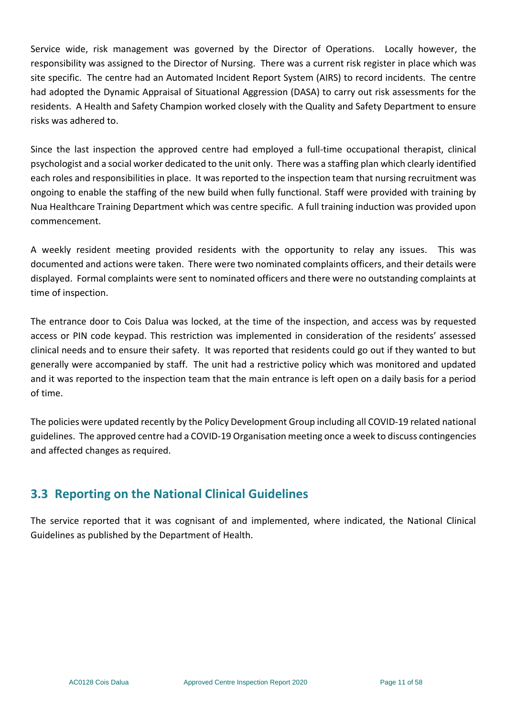Service wide, risk management was governed by the Director of Operations. Locally however, the responsibility was assigned to the Director of Nursing. There was a current risk register in place which was site specific. The centre had an Automated Incident Report System (AIRS) to record incidents. The centre had adopted the Dynamic Appraisal of Situational Aggression (DASA) to carry out risk assessments for the residents. A Health and Safety Champion worked closely with the Quality and Safety Department to ensure risks was adhered to.

Since the last inspection the approved centre had employed a full-time occupational therapist, clinical psychologist and a social worker dedicated to the unit only. There was a staffing plan which clearly identified each roles and responsibilities in place. It was reported to the inspection team that nursing recruitment was ongoing to enable the staffing of the new build when fully functional. Staff were provided with training by Nua Healthcare Training Department which was centre specific. A full training induction was provided upon commencement.

A weekly resident meeting provided residents with the opportunity to relay any issues. This was documented and actions were taken. There were two nominated complaints officers, and their details were displayed. Formal complaints were sent to nominated officers and there were no outstanding complaints at time of inspection.

The entrance door to Cois Dalua was locked, at the time of the inspection, and access was by requested access or PIN code keypad. This restriction was implemented in consideration of the residents' assessed clinical needs and to ensure their safety. It was reported that residents could go out if they wanted to but generally were accompanied by staff. The unit had a restrictive policy which was monitored and updated and it was reported to the inspection team that the main entrance is left open on a daily basis for a period of time.

The policies were updated recently by the Policy Development Group including all COVID-19 related national guidelines. The approved centre had a COVID-19 Organisation meeting once a week to discuss contingencies and affected changes as required.

# <span id="page-10-0"></span>**3.3 Reporting on the National Clinical Guidelines**

The service reported that it was cognisant of and implemented, where indicated, the National Clinical Guidelines as published by the Department of Health.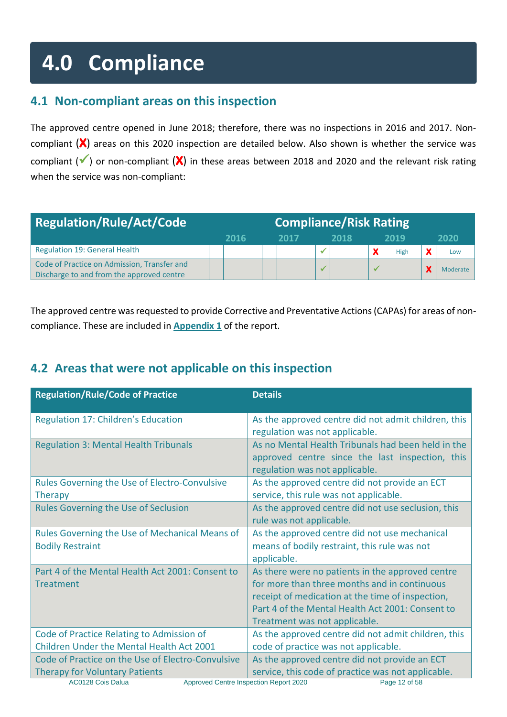# **4.0 Compliance**

# <span id="page-11-0"></span>**4.1 Non-compliant areas on this inspection**

The approved centre opened in June 2018; therefore, there was no inspections in 2016 and 2017. Noncompliant (**X**) areas on this 2020 inspection are detailed below. Also shown is whether the service was compliant (✓) or non-compliant (**X**) in these areas between 2018 and 2020 and the relevant risk rating when the service was non-compliant:

| <b>Regulation/Rule/Act/Code</b>                                                          | <b>Compliance/Risk Rating</b> |      |  |      |      |      |          |
|------------------------------------------------------------------------------------------|-------------------------------|------|--|------|------|------|----------|
|                                                                                          |                               | 2016 |  | 2017 | 2018 | 2019 | 2020     |
| <b>Regulation 19: General Health</b>                                                     |                               |      |  |      |      | High | Low      |
| Code of Practice on Admission, Transfer and<br>Discharge to and from the approved centre |                               |      |  |      |      |      | Moderate |

The approved centre was requested to provide Corrective and Preventative Actions (CAPAs) for areas of noncompliance. These are included in **Appendix 1** of the report.

# <span id="page-11-1"></span>**4.2 Areas that were not applicable on this inspection**

| <b>Regulation/Rule/Code of Practice</b>                                                                                                                   | <b>Details</b>                                                                                                                                                                                                                            |
|-----------------------------------------------------------------------------------------------------------------------------------------------------------|-------------------------------------------------------------------------------------------------------------------------------------------------------------------------------------------------------------------------------------------|
| Regulation 17: Children's Education                                                                                                                       | As the approved centre did not admit children, this<br>regulation was not applicable.                                                                                                                                                     |
| <b>Regulation 3: Mental Health Tribunals</b>                                                                                                              | As no Mental Health Tribunals had been held in the<br>approved centre since the last inspection, this<br>regulation was not applicable.                                                                                                   |
| Rules Governing the Use of Electro-Convulsive<br><b>Therapy</b>                                                                                           | As the approved centre did not provide an ECT<br>service, this rule was not applicable.                                                                                                                                                   |
| <b>Rules Governing the Use of Seclusion</b>                                                                                                               | As the approved centre did not use seclusion, this<br>rule was not applicable.                                                                                                                                                            |
| Rules Governing the Use of Mechanical Means of<br><b>Bodily Restraint</b>                                                                                 | As the approved centre did not use mechanical<br>means of bodily restraint, this rule was not<br>applicable.                                                                                                                              |
| Part 4 of the Mental Health Act 2001: Consent to<br><b>Treatment</b>                                                                                      | As there were no patients in the approved centre<br>for more than three months and in continuous<br>receipt of medication at the time of inspection,<br>Part 4 of the Mental Health Act 2001: Consent to<br>Treatment was not applicable. |
| Code of Practice Relating to Admission of<br>Children Under the Mental Health Act 2001                                                                    | As the approved centre did not admit children, this<br>code of practice was not applicable.                                                                                                                                               |
| Code of Practice on the Use of Electro-Convulsive<br><b>Therapy for Voluntary Patients</b><br>Approved Centre Inspection Report 2020<br>AC0128 Cois Dalua | As the approved centre did not provide an ECT<br>service, this code of practice was not applicable.<br>Page 12 of 58                                                                                                                      |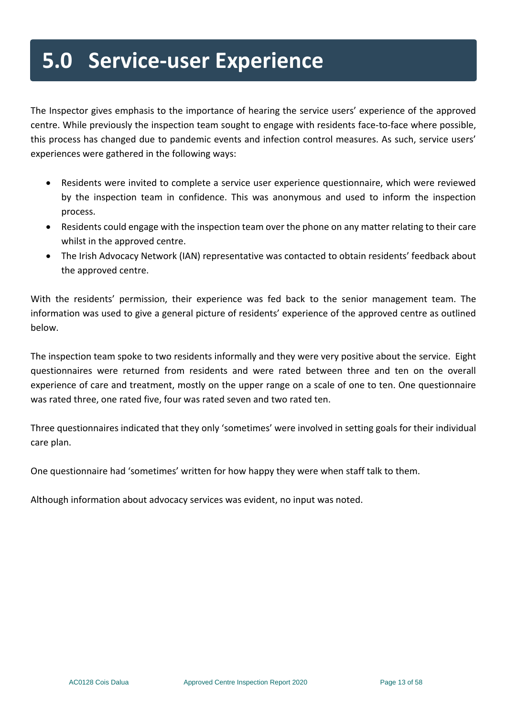# **5.0 Service-user Experience**

The Inspector gives emphasis to the importance of hearing the service users' experience of the approved centre. While previously the inspection team sought to engage with residents face-to-face where possible, this process has changed due to pandemic events and infection control measures. As such, service users' experiences were gathered in the following ways:

- Residents were invited to complete a service user experience questionnaire, which were reviewed by the inspection team in confidence. This was anonymous and used to inform the inspection process.
- Residents could engage with the inspection team over the phone on any matter relating to their care whilst in the approved centre.
- The Irish Advocacy Network (IAN) representative was contacted to obtain residents' feedback about the approved centre.

With the residents' permission, their experience was fed back to the senior management team. The information was used to give a general picture of residents' experience of the approved centre as outlined below.

The inspection team spoke to two residents informally and they were very positive about the service. Eight questionnaires were returned from residents and were rated between three and ten on the overall experience of care and treatment, mostly on the upper range on a scale of one to ten. One questionnaire was rated three, one rated five, four was rated seven and two rated ten.

Three questionnaires indicated that they only 'sometimes' were involved in setting goals for their individual care plan.

One questionnaire had 'sometimes' written for how happy they were when staff talk to them.

Although information about advocacy services was evident, no input was noted.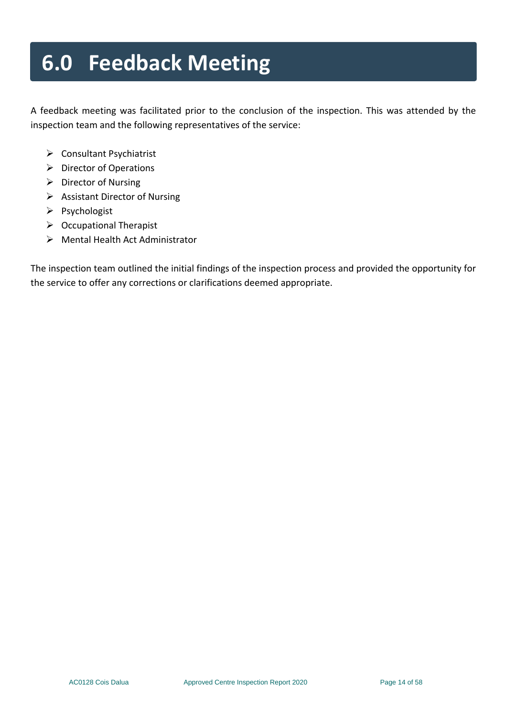# **6.0 Feedback Meeting**

A feedback meeting was facilitated prior to the conclusion of the inspection. This was attended by the inspection team and the following representatives of the service:

- ➢ Consultant Psychiatrist
- ➢ Director of Operations
- ➢ Director of Nursing
- ➢ Assistant Director of Nursing
- ➢ Psychologist
- ➢ Occupational Therapist
- ➢ Mental Health Act Administrator

The inspection team outlined the initial findings of the inspection process and provided the opportunity for the service to offer any corrections or clarifications deemed appropriate.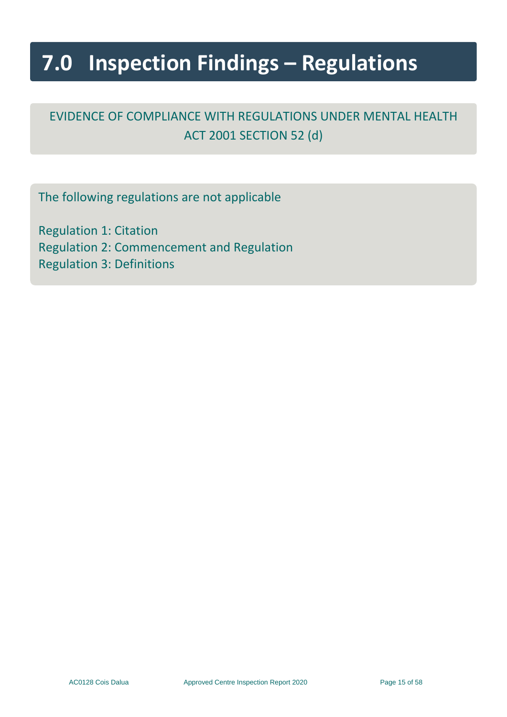# **7.0 Inspection Findings – Regulations**

# EVIDENCE OF COMPLIANCE WITH REGULATIONS UNDER MENTAL HEALTH ACT 2001 SECTION 52 (d)

The following regulations are not applicable

Regulation 1: Citation Regulation 2: Commencement and Regulation Regulation 3: Definitions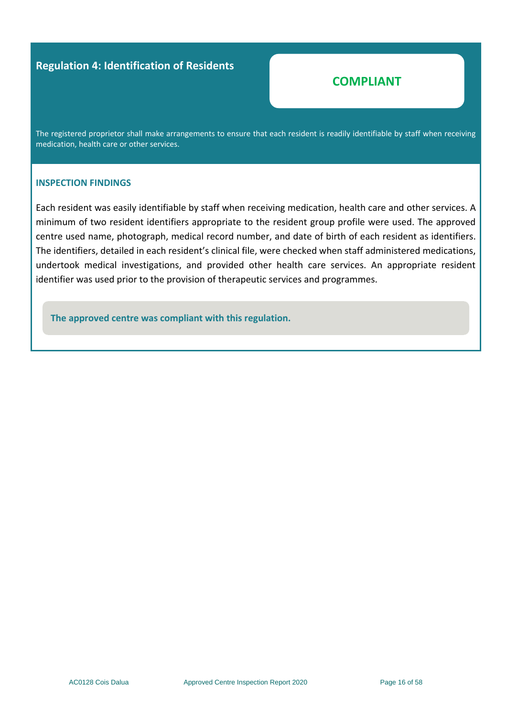#### **Regulation 4: Identification of Residents**

### **COMPLIANT**

The registered proprietor shall make arrangements to ensure that each resident is readily identifiable by staff when receiving medication, health care or other services.

#### **INSPECTION FINDINGS**

Each resident was easily identifiable by staff when receiving medication, health care and other services. A minimum of two resident identifiers appropriate to the resident group profile were used. The approved centre used name, photograph, medical record number, and date of birth of each resident as identifiers. The identifiers, detailed in each resident's clinical file, were checked when staff administered medications, undertook medical investigations, and provided other health care services. An appropriate resident identifier was used prior to the provision of therapeutic services and programmes.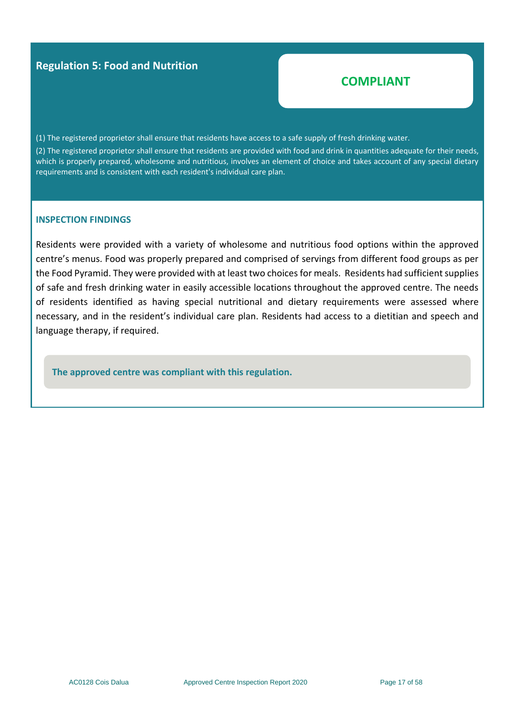#### **Regulation 5: Food and Nutrition**

## **COMPLIANT**

(1) The registered proprietor shall ensure that residents have access to a safe supply of fresh drinking water.

(2) The registered proprietor shall ensure that residents are provided with food and drink in quantities adequate for their needs, which is properly prepared, wholesome and nutritious, involves an element of choice and takes account of any special dietary requirements and is consistent with each resident's individual care plan.

#### **INSPECTION FINDINGS**

Residents were provided with a variety of wholesome and nutritious food options within the approved centre's menus. Food was properly prepared and comprised of servings from different food groups as per the Food Pyramid. They were provided with at least two choices for meals. Residents had sufficient supplies of safe and fresh drinking water in easily accessible locations throughout the approved centre. The needs of residents identified as having special nutritional and dietary requirements were assessed where necessary, and in the resident's individual care plan. Residents had access to a dietitian and speech and language therapy, if required.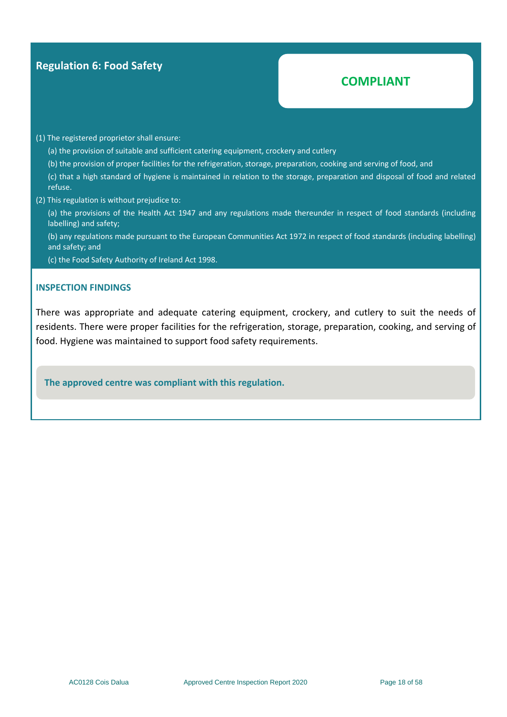#### **Regulation 6: Food Safety**

# **COMPLIANT**

#### (1) The registered proprietor shall ensure:

(a) the provision of suitable and sufficient catering equipment, crockery and cutlery

(b) the provision of proper facilities for the refrigeration, storage, preparation, cooking and serving of food, and

(c) that a high standard of hygiene is maintained in relation to the storage, preparation and disposal of food and related refuse.

(2) This regulation is without prejudice to:

(a) the provisions of the Health Act 1947 and any regulations made thereunder in respect of food standards (including labelling) and safety;

(b) any regulations made pursuant to the European Communities Act 1972 in respect of food standards (including labelling) and safety; and

(c) the Food Safety Authority of Ireland Act 1998.

#### **INSPECTION FINDINGS**

There was appropriate and adequate catering equipment, crockery, and cutlery to suit the needs of residents. There were proper facilities for the refrigeration, storage, preparation, cooking, and serving of food. Hygiene was maintained to support food safety requirements.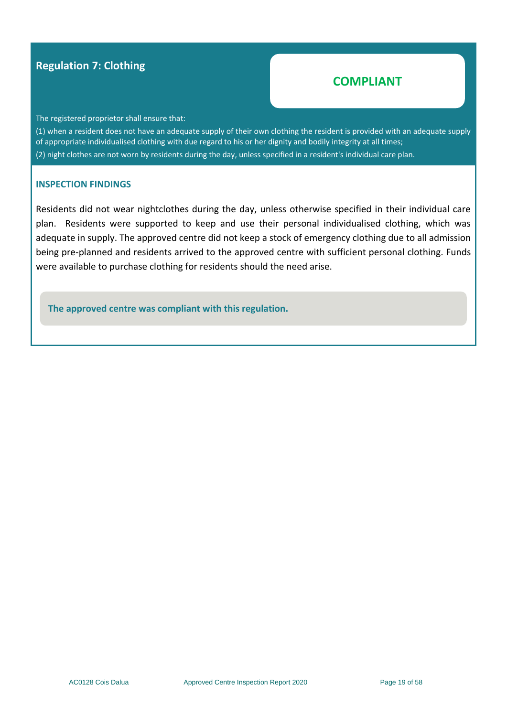#### **Regulation 7: Clothing**

#### **COMPLIANT**

The registered proprietor shall ensure that:

(1) when a resident does not have an adequate supply of their own clothing the resident is provided with an adequate supply of appropriate individualised clothing with due regard to his or her dignity and bodily integrity at all times; (2) night clothes are not worn by residents during the day, unless specified in a resident's individual care plan.

#### **INSPECTION FINDINGS**

Residents did not wear nightclothes during the day, unless otherwise specified in their individual care plan. Residents were supported to keep and use their personal individualised clothing, which was adequate in supply. The approved centre did not keep a stock of emergency clothing due to all admission being pre-planned and residents arrived to the approved centre with sufficient personal clothing. Funds were available to purchase clothing for residents should the need arise.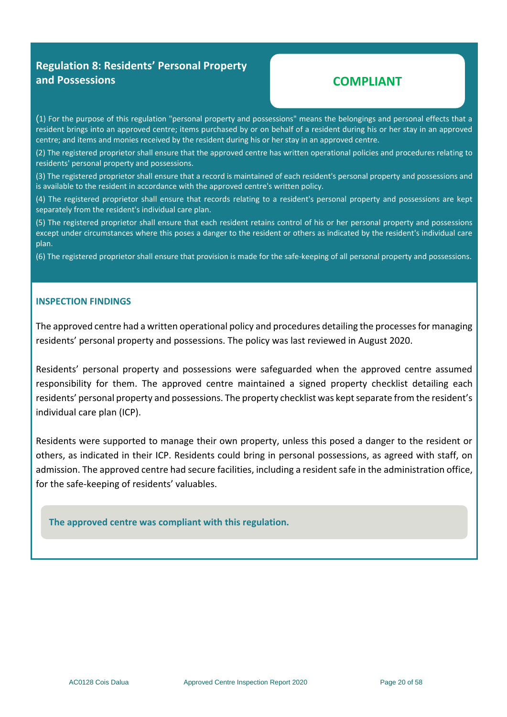#### **Regulation 8: Residents' Personal Property and Possessions**

#### **COMPLIANT**

(1) For the purpose of this regulation "personal property and possessions" means the belongings and personal effects that a resident brings into an approved centre; items purchased by or on behalf of a resident during his or her stay in an approved centre; and items and monies received by the resident during his or her stay in an approved centre.

(2) The registered proprietor shall ensure that the approved centre has written operational policies and procedures relating to residents' personal property and possessions.

(3) The registered proprietor shall ensure that a record is maintained of each resident's personal property and possessions and is available to the resident in accordance with the approved centre's written policy.

(4) The registered proprietor shall ensure that records relating to a resident's personal property and possessions are kept separately from the resident's individual care plan.

(5) The registered proprietor shall ensure that each resident retains control of his or her personal property and possessions except under circumstances where this poses a danger to the resident or others as indicated by the resident's individual care plan.

(6) The registered proprietor shall ensure that provision is made for the safe-keeping of all personal property and possessions.

#### **INSPECTION FINDINGS**

The approved centre had a written operational policy and procedures detailing the processes for managing residents' personal property and possessions. The policy was last reviewed in August 2020.

Residents' personal property and possessions were safeguarded when the approved centre assumed responsibility for them. The approved centre maintained a signed property checklist detailing each residents' personal property and possessions. The property checklist was kept separate from the resident's individual care plan (ICP).

Residents were supported to manage their own property, unless this posed a danger to the resident or others, as indicated in their ICP. Residents could bring in personal possessions, as agreed with staff, on admission. The approved centre had secure facilities, including a resident safe in the administration office, for the safe-keeping of residents' valuables.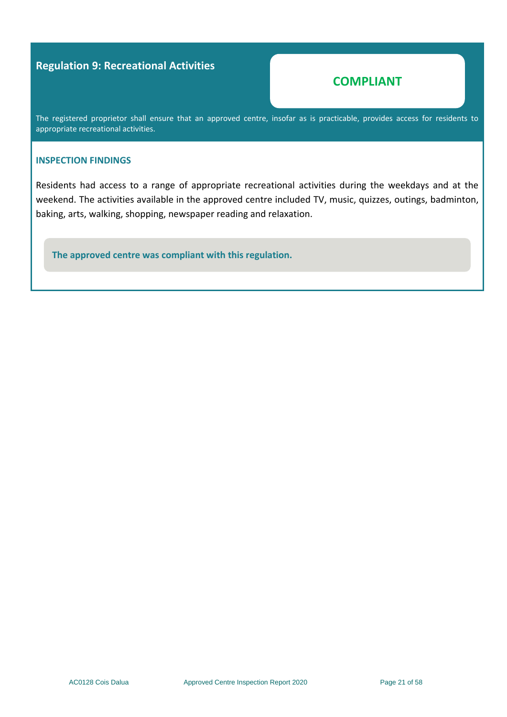#### **Regulation 9: Recreational Activities**

#### **COMPLIANT**

The registered proprietor shall ensure that an approved centre, insofar as is practicable, provides access for residents to appropriate recreational activities.

#### **INSPECTION FINDINGS**

Residents had access to a range of appropriate recreational activities during the weekdays and at the weekend. The activities available in the approved centre included TV, music, quizzes, outings, badminton, baking, arts, walking, shopping, newspaper reading and relaxation.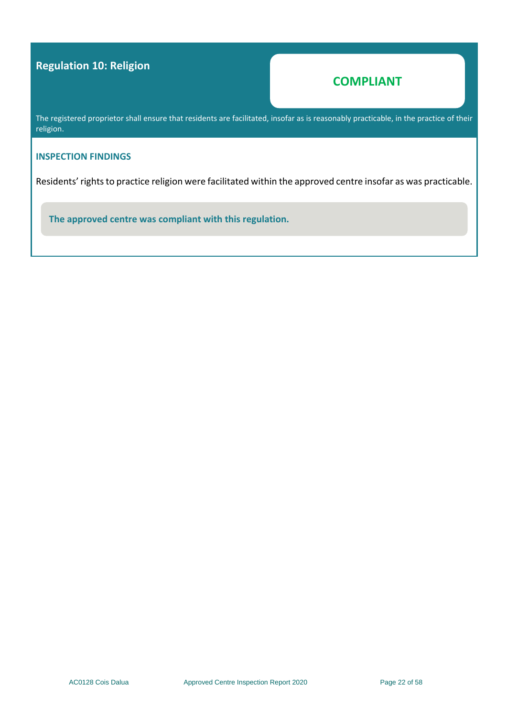# **Regulation 10: Religion**

### **COMPLIANT**

The registered proprietor shall ensure that residents are facilitated, insofar as is reasonably practicable, in the practice of their religion.

#### **INSPECTION FINDINGS**

Residents' rights to practice religion were facilitated within the approved centre insofar as was practicable.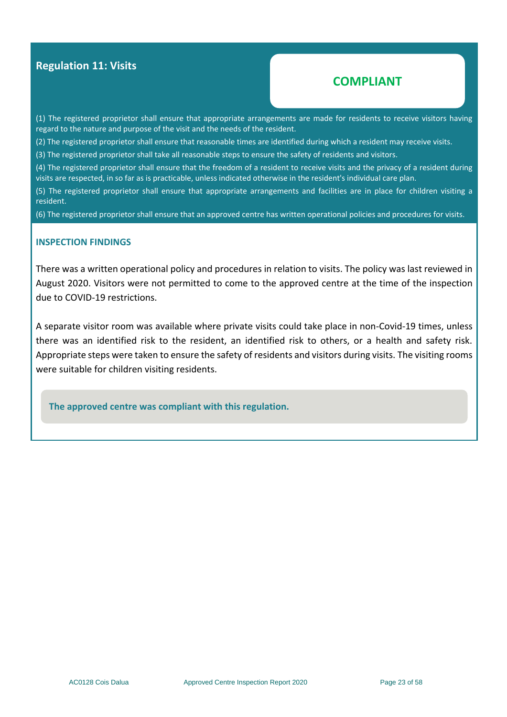#### **Regulation 11: Visits**

#### **COMPLIANT**

(1) The registered proprietor shall ensure that appropriate arrangements are made for residents to receive visitors having regard to the nature and purpose of the visit and the needs of the resident.

(2) The registered proprietor shall ensure that reasonable times are identified during which a resident may receive visits.

(3) The registered proprietor shall take all reasonable steps to ensure the safety of residents and visitors.

(4) The registered proprietor shall ensure that the freedom of a resident to receive visits and the privacy of a resident during visits are respected, in so far as is practicable, unless indicated otherwise in the resident's individual care plan.

(5) The registered proprietor shall ensure that appropriate arrangements and facilities are in place for children visiting a resident.

(6) The registered proprietor shall ensure that an approved centre has written operational policies and procedures for visits.

#### **INSPECTION FINDINGS**

There was a written operational policy and procedures in relation to visits. The policy was last reviewed in August 2020. Visitors were not permitted to come to the approved centre at the time of the inspection due to COVID-19 restrictions.

A separate visitor room was available where private visits could take place in non-Covid-19 times, unless there was an identified risk to the resident, an identified risk to others, or a health and safety risk. Appropriate steps were taken to ensure the safety of residents and visitors during visits. The visiting rooms were suitable for children visiting residents.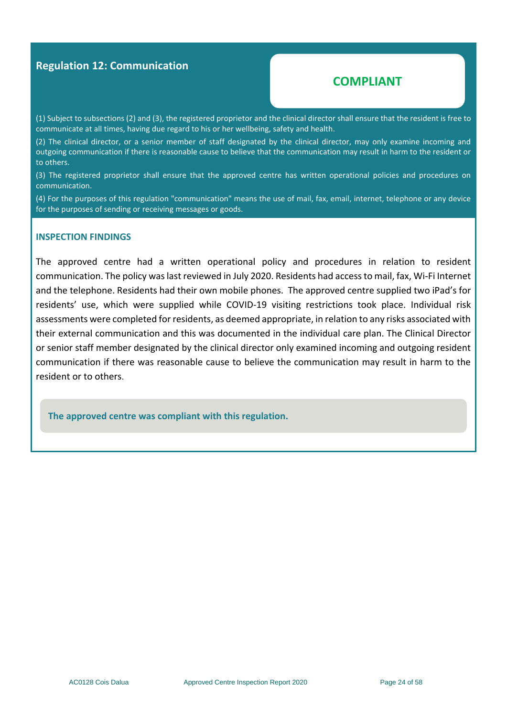#### **Regulation 12: Communication**

#### **COMPLIANT**

(1) Subject to subsections (2) and (3), the registered proprietor and the clinical director shall ensure that the resident is free to communicate at all times, having due regard to his or her wellbeing, safety and health.

(2) The clinical director, or a senior member of staff designated by the clinical director, may only examine incoming and outgoing communication if there is reasonable cause to believe that the communication may result in harm to the resident or to others.

(3) The registered proprietor shall ensure that the approved centre has written operational policies and procedures on communication.

(4) For the purposes of this regulation "communication" means the use of mail, fax, email, internet, telephone or any device for the purposes of sending or receiving messages or goods.

#### **INSPECTION FINDINGS**

The approved centre had a written operational policy and procedures in relation to resident communication. The policy was last reviewed in July 2020. Residents had access to mail, fax, Wi-Fi Internet and the telephone. Residents had their own mobile phones. The approved centre supplied two iPad's for residents' use, which were supplied while COVID-19 visiting restrictions took place. Individual risk assessments were completed for residents, as deemed appropriate, in relation to any risks associated with their external communication and this was documented in the individual care plan. The Clinical Director or senior staff member designated by the clinical director only examined incoming and outgoing resident communication if there was reasonable cause to believe the communication may result in harm to the resident or to others.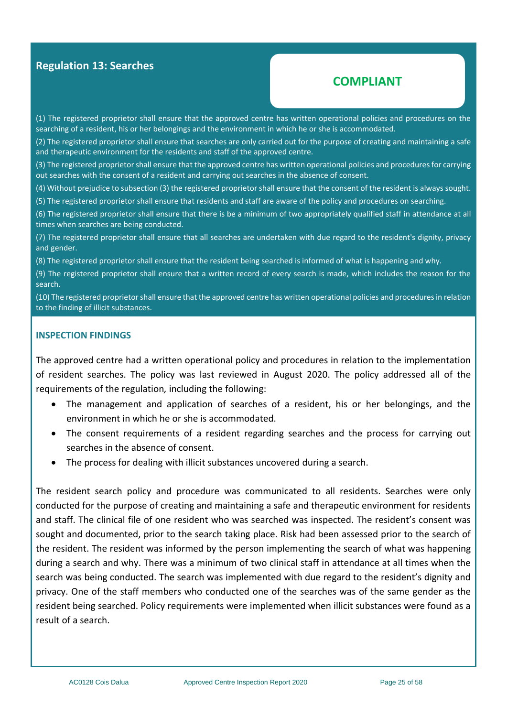#### **Regulation 13: Searches**

#### **COMPLIANT**

(1) The registered proprietor shall ensure that the approved centre has written operational policies and procedures on the searching of a resident, his or her belongings and the environment in which he or she is accommodated.

(2) The registered proprietor shall ensure that searches are only carried out for the purpose of creating and maintaining a safe and therapeutic environment for the residents and staff of the approved centre.

(3) The registered proprietor shall ensure that the approved centre has written operational policies and procedures for carrying out searches with the consent of a resident and carrying out searches in the absence of consent.

(4) Without prejudice to subsection (3) the registered proprietor shall ensure that the consent of the resident is always sought.

(5) The registered proprietor shall ensure that residents and staff are aware of the policy and procedures on searching.

(6) The registered proprietor shall ensure that there is be a minimum of two appropriately qualified staff in attendance at all times when searches are being conducted.

(7) The registered proprietor shall ensure that all searches are undertaken with due regard to the resident's dignity, privacy and gender.

(8) The registered proprietor shall ensure that the resident being searched is informed of what is happening and why.

(9) The registered proprietor shall ensure that a written record of every search is made, which includes the reason for the search.

(10) The registered proprietor shall ensure that the approved centre has written operational policies and procedures in relation to the finding of illicit substances.

#### **INSPECTION FINDINGS**

The approved centre had a written operational policy and procedures in relation to the implementation of resident searches. The policy was last reviewed in August 2020. The policy addressed all of the requirements of the regulation*,* including the following:

- The management and application of searches of a resident, his or her belongings, and the environment in which he or she is accommodated.
- The consent requirements of a resident regarding searches and the process for carrying out searches in the absence of consent.
- The process for dealing with illicit substances uncovered during a search.

The resident search policy and procedure was communicated to all residents. Searches were only conducted for the purpose of creating and maintaining a safe and therapeutic environment for residents and staff. The clinical file of one resident who was searched was inspected. The resident's consent was sought and documented, prior to the search taking place. Risk had been assessed prior to the search of the resident. The resident was informed by the person implementing the search of what was happening during a search and why. There was a minimum of two clinical staff in attendance at all times when the search was being conducted. The search was implemented with due regard to the resident's dignity and privacy. One of the staff members who conducted one of the searches was of the same gender as the resident being searched. Policy requirements were implemented when illicit substances were found as a result of a search.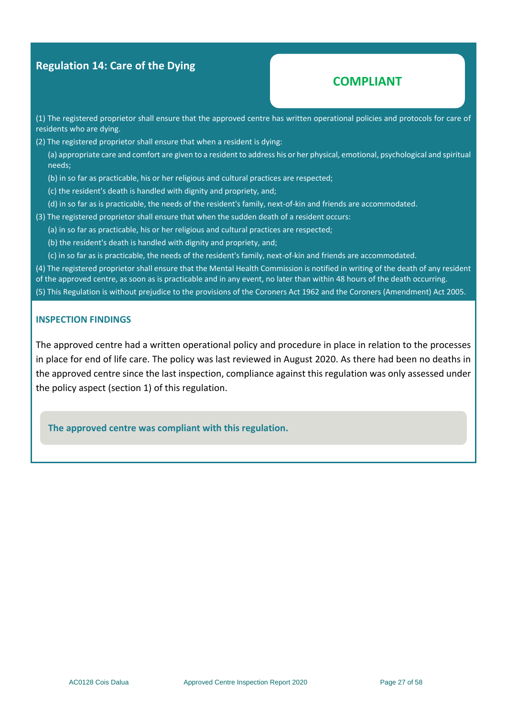#### **Regulation 14: Care of the Dying**

### **COMPLIANT**

(1) The registered proprietor shall ensure that the approved centre has written operational policies and protocols for care of residents who are dying.

(2) The registered proprietor shall ensure that when a resident is dying:

(a) appropriate care and comfort are given to a resident to address his or her physical, emotional, psychological and spiritual needs;

- (b) in so far as practicable, his or her religious and cultural practices are respected;
- (c) the resident's death is handled with dignity and propriety, and;
- (d) in so far as is practicable, the needs of the resident's family, next-of-kin and friends are accommodated.
- (3) The registered proprietor shall ensure that when the sudden death of a resident occurs:
	- (a) in so far as practicable, his or her religious and cultural practices are respected;
	- (b) the resident's death is handled with dignity and propriety, and;
	- (c) in so far as is practicable, the needs of the resident's family, next-of-kin and friends are accommodated.

(4) The registered proprietor shall ensure that the Mental Health Commission is notified in writing of the death of any resident of the approved centre, as soon as is practicable and in any event, no later than within 48 hours of the death occurring.

(5) This Regulation is without prejudice to the provisions of the Coroners Act 1962 and the Coroners (Amendment) Act 2005.

#### **INSPECTION FINDINGS**

The approved centre had a written operational policy and procedure in place in relation to the processes in place for end of life care. The policy was last reviewed in August 2020. As there had been no deaths in the approved centre since the last inspection, compliance against this regulation was only assessed under the policy aspect (section 1) of this regulation.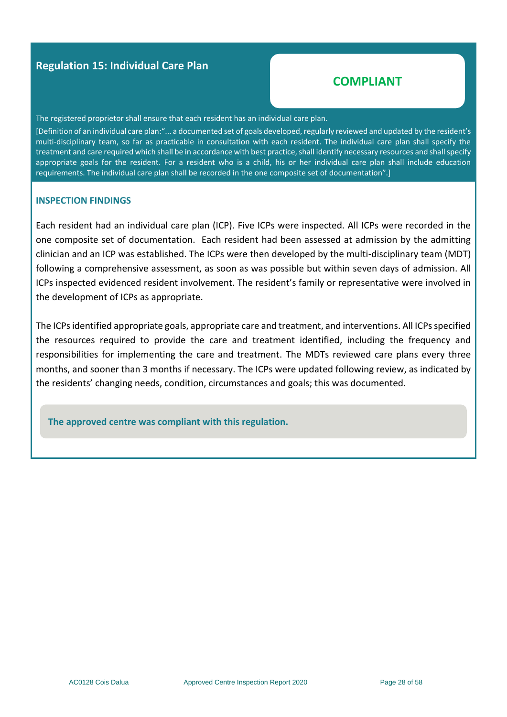#### **Regulation 15: Individual Care Plan**

### **COMPLIANT**

The registered proprietor shall ensure that each resident has an individual care plan.

[Definition of an individual care plan:"... a documented set of goals developed, regularly reviewed and updated by the resident's multi-disciplinary team, so far as practicable in consultation with each resident. The individual care plan shall specify the treatment and care required which shall be in accordance with best practice, shall identify necessary resources and shall specify appropriate goals for the resident. For a resident who is a child, his or her individual care plan shall include education requirements. The individual care plan shall be recorded in the one composite set of documentation".]

#### **INSPECTION FINDINGS**

Each resident had an individual care plan (ICP). Five ICPs were inspected. All ICPs were recorded in the one composite set of documentation. Each resident had been assessed at admission by the admitting clinician and an ICP was established. The ICPs were then developed by the multi-disciplinary team (MDT) following a comprehensive assessment, as soon as was possible but within seven days of admission. All ICPs inspected evidenced resident involvement. The resident's family or representative were involved in the development of ICPs as appropriate.

The ICPs identified appropriate goals, appropriate care and treatment, and interventions. All ICPs specified the resources required to provide the care and treatment identified, including the frequency and responsibilities for implementing the care and treatment. The MDTs reviewed care plans every three months, and sooner than 3 months if necessary. The ICPs were updated following review, as indicated by the residents' changing needs, condition, circumstances and goals; this was documented.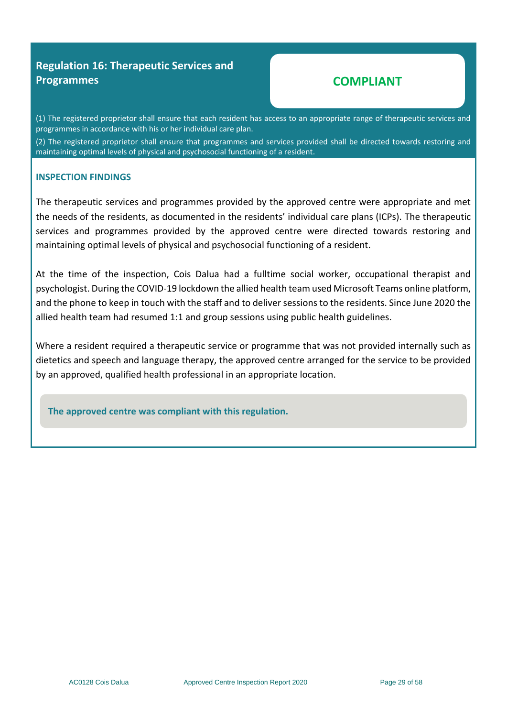### **Regulation 16: Therapeutic Services and Programmes**

# **COMPLIANT**

(1) The registered proprietor shall ensure that each resident has access to an appropriate range of therapeutic services and programmes in accordance with his or her individual care plan.

(2) The registered proprietor shall ensure that programmes and services provided shall be directed towards restoring and maintaining optimal levels of physical and psychosocial functioning of a resident.

#### **INSPECTION FINDINGS**

The therapeutic services and programmes provided by the approved centre were appropriate and met the needs of the residents, as documented in the residents' individual care plans (ICPs). The therapeutic services and programmes provided by the approved centre were directed towards restoring and maintaining optimal levels of physical and psychosocial functioning of a resident.

At the time of the inspection, Cois Dalua had a fulltime social worker, occupational therapist and psychologist. During the COVID-19 lockdown the allied health team used Microsoft Teams online platform, and the phone to keep in touch with the staff and to deliver sessions to the residents. Since June 2020 the allied health team had resumed 1:1 and group sessions using public health guidelines.

Where a resident required a therapeutic service or programme that was not provided internally such as dietetics and speech and language therapy, the approved centre arranged for the service to be provided by an approved, qualified health professional in an appropriate location.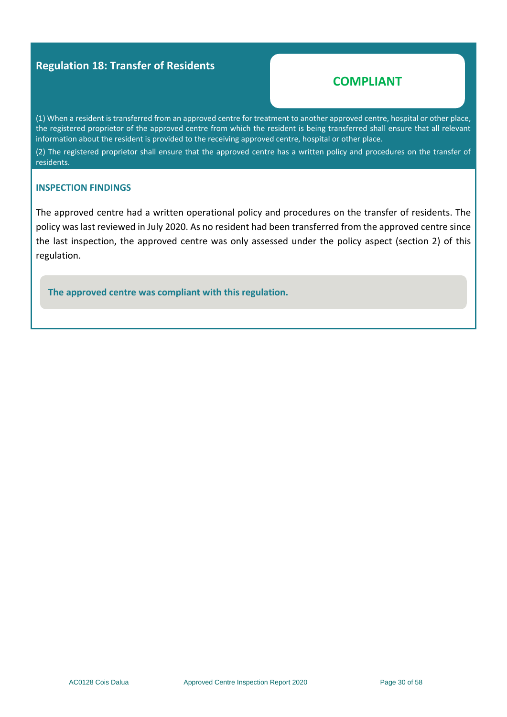#### **Regulation 18: Transfer of Residents**

#### **COMPLIANT**

(1) When a resident is transferred from an approved centre for treatment to another approved centre, hospital or other place, the registered proprietor of the approved centre from which the resident is being transferred shall ensure that all relevant information about the resident is provided to the receiving approved centre, hospital or other place.

(2) The registered proprietor shall ensure that the approved centre has a written policy and procedures on the transfer of residents.

#### **INSPECTION FINDINGS**

The approved centre had a written operational policy and procedures on the transfer of residents. The policy was last reviewed in July 2020. As no resident had been transferred from the approved centre since the last inspection, the approved centre was only assessed under the policy aspect (section 2) of this regulation.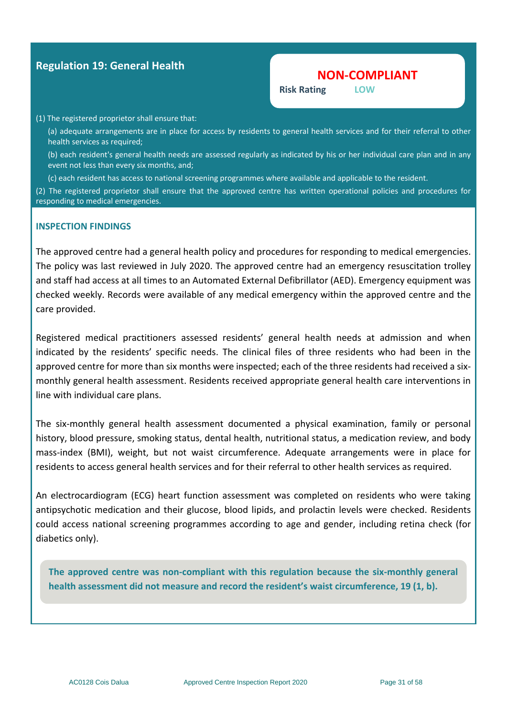#### **Regulation 19: General Health**

#### **NON-COMPLIANT**

**Risk Rating LOW**

#### (1) The registered proprietor shall ensure that:

(a) adequate arrangements are in place for access by residents to general health services and for their referral to other health services as required:

(b) each resident's general health needs are assessed regularly as indicated by his or her individual care plan and in any event not less than every six months, and;

(c) each resident has access to national screening programmes where available and applicable to the resident.

(2) The registered proprietor shall ensure that the approved centre has written operational policies and procedures for responding to medical emergencies.

#### **INSPECTION FINDINGS**

The approved centre had a general health policy and procedures for responding to medical emergencies. The policy was last reviewed in July 2020. The approved centre had an emergency resuscitation trolley and staff had access at all times to an Automated External Defibrillator (AED). Emergency equipment was checked weekly. Records were available of any medical emergency within the approved centre and the care provided.

Registered medical practitioners assessed residents' general health needs at admission and when indicated by the residents' specific needs. The clinical files of three residents who had been in the approved centre for more than six months were inspected; each of the three residents had received a sixmonthly general health assessment. Residents received appropriate general health care interventions in line with individual care plans.

The six-monthly general health assessment documented a physical examination, family or personal history, blood pressure, smoking status, dental health, nutritional status, a medication review, and body mass-index (BMI), weight, but not waist circumference. Adequate arrangements were in place for residents to access general health services and for their referral to other health services as required.

An electrocardiogram (ECG) heart function assessment was completed on residents who were taking antipsychotic medication and their glucose, blood lipids, and prolactin levels were checked. Residents could access national screening programmes according to age and gender, including retina check (for diabetics only).

**The approved centre was non-compliant with this regulation because the six-monthly general health assessment did not measure and record the resident's waist circumference, 19 (1, b).**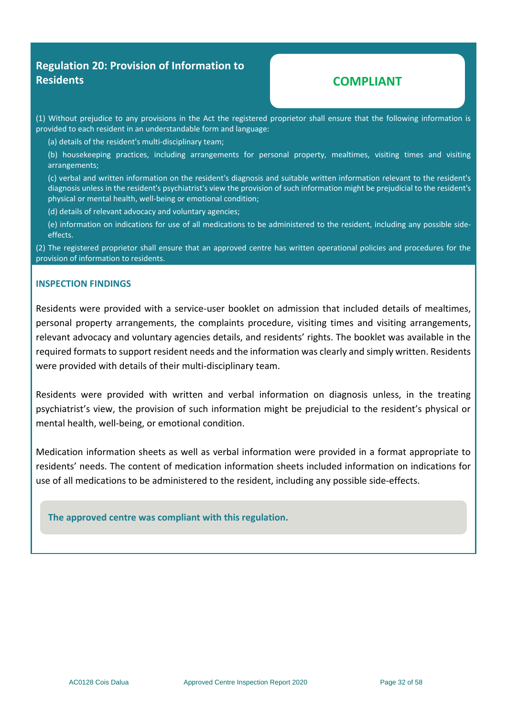#### **Regulation 20: Provision of Information to Residents**

### **COMPLIANT**

(1) Without prejudice to any provisions in the Act the registered proprietor shall ensure that the following information is provided to each resident in an understandable form and language:

(a) details of the resident's multi-disciplinary team;

(b) housekeeping practices, including arrangements for personal property, mealtimes, visiting times and visiting arrangements;

(c) verbal and written information on the resident's diagnosis and suitable written information relevant to the resident's diagnosis unless in the resident's psychiatrist's view the provision of such information might be prejudicial to the resident's physical or mental health, well-being or emotional condition;

(d) details of relevant advocacy and voluntary agencies;

(e) information on indications for use of all medications to be administered to the resident, including any possible sideeffects.

(2) The registered proprietor shall ensure that an approved centre has written operational policies and procedures for the provision of information to residents.

#### **INSPECTION FINDINGS**

Residents were provided with a service-user booklet on admission that included details of mealtimes, personal property arrangements, the complaints procedure, visiting times and visiting arrangements, relevant advocacy and voluntary agencies details, and residents' rights. The booklet was available in the required formats to support resident needs and the information was clearly and simply written. Residents were provided with details of their multi-disciplinary team.

Residents were provided with written and verbal information on diagnosis unless, in the treating psychiatrist's view, the provision of such information might be prejudicial to the resident's physical or mental health, well-being, or emotional condition.

Medication information sheets as well as verbal information were provided in a format appropriate to residents' needs. The content of medication information sheets included information on indications for use of all medications to be administered to the resident, including any possible side-effects.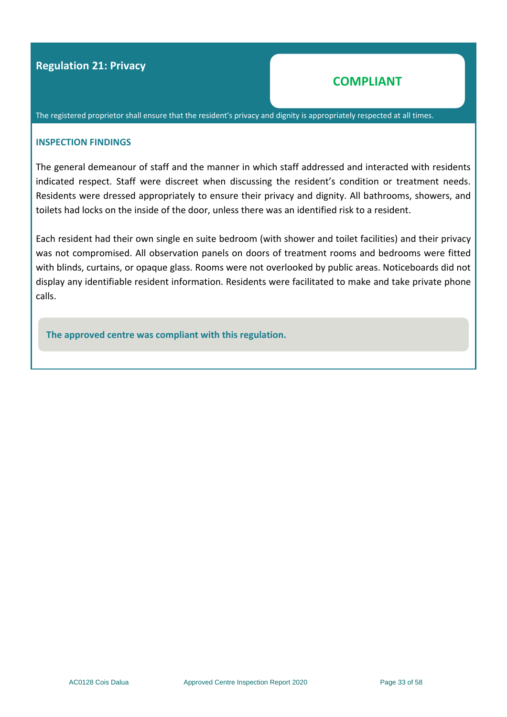#### **Regulation 21: Privacy**

### **COMPLIANT**

The registered proprietor shall ensure that the resident's privacy and dignity is appropriately respected at all times.

#### **INSPECTION FINDINGS**

The general demeanour of staff and the manner in which staff addressed and interacted with residents indicated respect. Staff were discreet when discussing the resident's condition or treatment needs. Residents were dressed appropriately to ensure their privacy and dignity. All bathrooms, showers, and toilets had locks on the inside of the door, unless there was an identified risk to a resident.

Each resident had their own single en suite bedroom (with shower and toilet facilities) and their privacy was not compromised. All observation panels on doors of treatment rooms and bedrooms were fitted with blinds, curtains, or opaque glass. Rooms were not overlooked by public areas. Noticeboards did not display any identifiable resident information. Residents were facilitated to make and take private phone calls.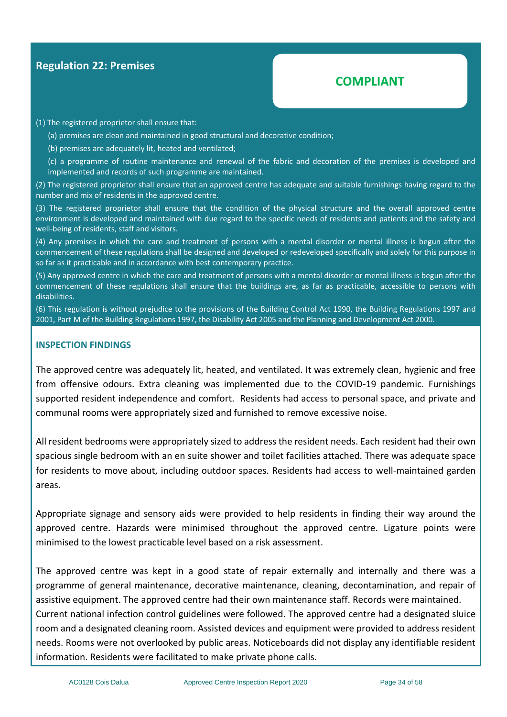#### **Regulation 22: Premises**

# **COMPLIANT**

#### (1) The registered proprietor shall ensure that:

(a) premises are clean and maintained in good structural and decorative condition;

(b) premises are adequately lit, heated and ventilated;

(c) a programme of routine maintenance and renewal of the fabric and decoration of the premises is developed and implemented and records of such programme are maintained.

(2) The registered proprietor shall ensure that an approved centre has adequate and suitable furnishings having regard to the number and mix of residents in the approved centre.

(3) The registered proprietor shall ensure that the condition of the physical structure and the overall approved centre environment is developed and maintained with due regard to the specific needs of residents and patients and the safety and well-being of residents, staff and visitors.

(4) Any premises in which the care and treatment of persons with a mental disorder or mental illness is begun after the commencement of these regulations shall be designed and developed or redeveloped specifically and solely for this purpose in so far as it practicable and in accordance with best contemporary practice.

(5) Any approved centre in which the care and treatment of persons with a mental disorder or mental illness is begun after the commencement of these regulations shall ensure that the buildings are, as far as practicable, accessible to persons with disabilities.

(6) This regulation is without prejudice to the provisions of the Building Control Act 1990, the Building Regulations 1997 and 2001, Part M of the Building Regulations 1997, the Disability Act 2005 and the Planning and Development Act 2000.

#### **INSPECTION FINDINGS**

The approved centre was adequately lit, heated, and ventilated. It was extremely clean, hygienic and free from offensive odours. Extra cleaning was implemented due to the COVID-19 pandemic. Furnishings supported resident independence and comfort. Residents had access to personal space, and private and communal rooms were appropriately sized and furnished to remove excessive noise.

All resident bedrooms were appropriately sized to address the resident needs. Each resident had their own spacious single bedroom with an en suite shower and toilet facilities attached. There was adequate space for residents to move about, including outdoor spaces. Residents had access to well-maintained garden areas.

Appropriate signage and sensory aids were provided to help residents in finding their way around the approved centre. Hazards were minimised throughout the approved centre. Ligature points were minimised to the lowest practicable level based on a risk assessment.

The approved centre was kept in a good state of repair externally and internally and there was a programme of general maintenance, decorative maintenance, cleaning, decontamination, and repair of assistive equipment. The approved centre had their own maintenance staff. Records were maintained. Current national infection control guidelines were followed. The approved centre had a designated sluice room and a designated cleaning room. Assisted devices and equipment were provided to address resident needs. Rooms were not overlooked by public areas. Noticeboards did not display any identifiable resident information. Residents were facilitated to make private phone calls.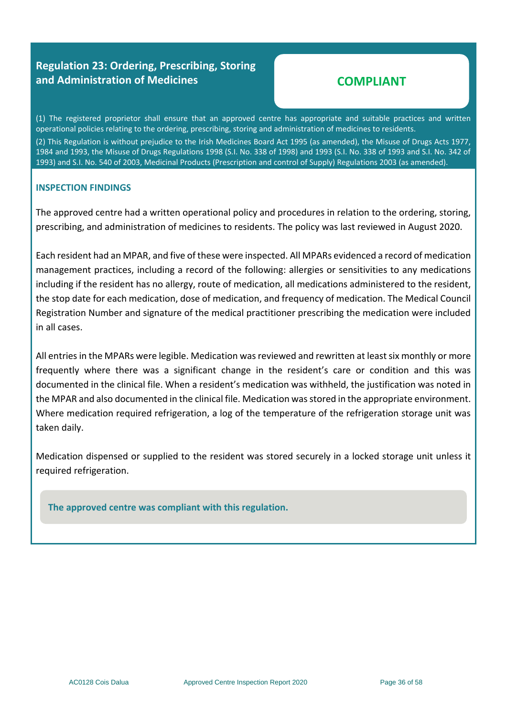### **Regulation 23: Ordering, Prescribing, Storing and Administration of Medicines**

# **COMPLIANT**

(1) The registered proprietor shall ensure that an approved centre has appropriate and suitable practices and written operational policies relating to the ordering, prescribing, storing and administration of medicines to residents.

(2) This Regulation is without prejudice to the Irish Medicines Board Act 1995 (as amended), the Misuse of Drugs Acts 1977, 1984 and 1993, the Misuse of Drugs Regulations 1998 (S.I. No. 338 of 1998) and 1993 (S.I. No. 338 of 1993 and S.I. No. 342 of 1993) and S.I. No. 540 of 2003, Medicinal Products (Prescription and control of Supply) Regulations 2003 (as amended).

#### **INSPECTION FINDINGS**

The approved centre had a written operational policy and procedures in relation to the ordering, storing, prescribing, and administration of medicines to residents. The policy was last reviewed in August 2020.

Each resident had an MPAR, and five of these were inspected. All MPARs evidenced a record of medication management practices, including a record of the following: allergies or sensitivities to any medications including if the resident has no allergy, route of medication, all medications administered to the resident, the stop date for each medication, dose of medication, and frequency of medication. The Medical Council Registration Number and signature of the medical practitioner prescribing the medication were included in all cases.

All entries in the MPARs were legible. Medication was reviewed and rewritten at least six monthly or more frequently where there was a significant change in the resident's care or condition and this was documented in the clinical file. When a resident's medication was withheld, the justification was noted in the MPAR and also documented in the clinical file. Medication was stored in the appropriate environment. Where medication required refrigeration, a log of the temperature of the refrigeration storage unit was taken daily.

Medication dispensed or supplied to the resident was stored securely in a locked storage unit unless it required refrigeration.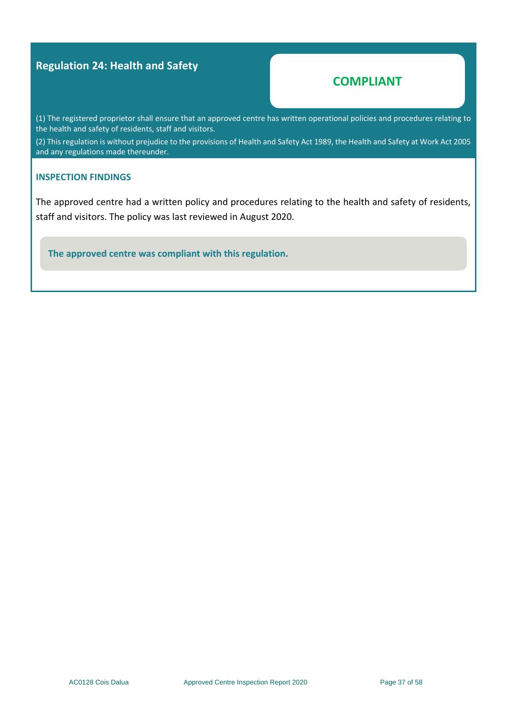#### **Regulation 24: Health and Safety**

#### **COMPLIANT**

(1) The registered proprietor shall ensure that an approved centre has written operational policies and procedures relating to the health and safety of residents, staff and visitors.

(2) This regulation is without prejudice to the provisions of Health and Safety Act 1989, the Health and Safety at Work Act 2005 and any regulations made thereunder.

#### **INSPECTION FINDINGS**

The approved centre had a written policy and procedures relating to the health and safety of residents, staff and visitors. The policy was last reviewed in August 2020.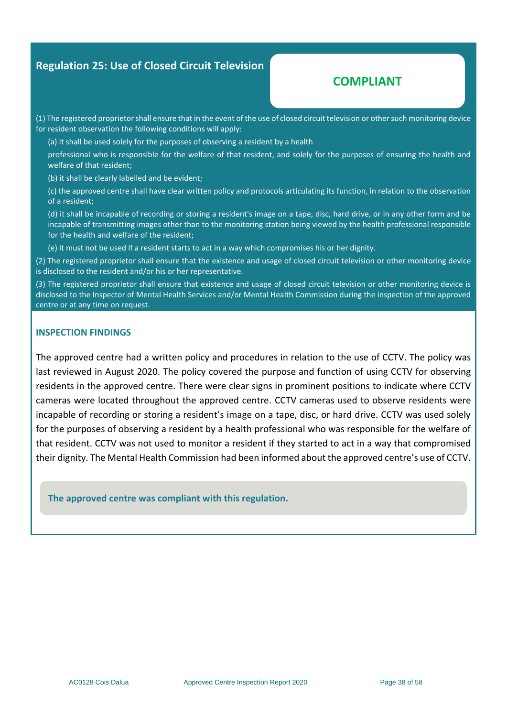#### **Regulation 25: Use of Closed Circuit Television**

#### **COMPLIANT**

(1) The registered proprietor shall ensure that in the event of the use of closed circuit television or other such monitoring device for resident observation the following conditions will apply:

(a) it shall be used solely for the purposes of observing a resident by a health

professional who is responsible for the welfare of that resident, and solely for the purposes of ensuring the health and welfare of that resident;

(b) it shall be clearly labelled and be evident;

(c) the approved centre shall have clear written policy and protocols articulating its function, in relation to the observation of a resident;

(d) it shall be incapable of recording or storing a resident's image on a tape, disc, hard drive, or in any other form and be incapable of transmitting images other than to the monitoring station being viewed by the health professional responsible for the health and welfare of the resident;

(e) it must not be used if a resident starts to act in a way which compromises his or her dignity.

(2) The registered proprietor shall ensure that the existence and usage of closed circuit television or other monitoring device is disclosed to the resident and/or his or her representative.

(3) The registered proprietor shall ensure that existence and usage of closed circuit television or other monitoring device is disclosed to the Inspector of Mental Health Services and/or Mental Health Commission during the inspection of the approved centre or at any time on request.

#### **INSPECTION FINDINGS**

The approved centre had a written policy and procedures in relation to the use of CCTV. The policy was last reviewed in August 2020. The policy covered the purpose and function of using CCTV for observing residents in the approved centre. There were clear signs in prominent positions to indicate where CCTV cameras were located throughout the approved centre. CCTV cameras used to observe residents were incapable of recording or storing a resident's image on a tape, disc, or hard drive. CCTV was used solely for the purposes of observing a resident by a health professional who was responsible for the welfare of that resident. CCTV was not used to monitor a resident if they started to act in a way that compromised their dignity. The Mental Health Commission had been informed about the approved centre's use of CCTV.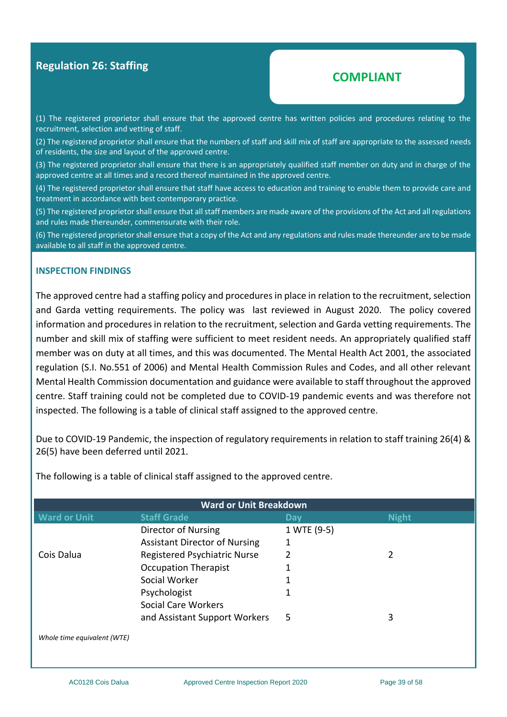#### **Regulation 26: Staffing**

#### **COMPLIANT**

(1) The registered proprietor shall ensure that the approved centre has written policies and procedures relating to the recruitment, selection and vetting of staff.

(2) The registered proprietor shall ensure that the numbers of staff and skill mix of staff are appropriate to the assessed needs of residents, the size and layout of the approved centre.

(3) The registered proprietor shall ensure that there is an appropriately qualified staff member on duty and in charge of the approved centre at all times and a record thereof maintained in the approved centre.

(4) The registered proprietor shall ensure that staff have access to education and training to enable them to provide care and treatment in accordance with best contemporary practice.

(5) The registered proprietor shall ensure that all staff members are made aware of the provisions of the Act and all regulations and rules made thereunder, commensurate with their role.

(6) The registered proprietor shall ensure that a copy of the Act and any regulations and rules made thereunder are to be made available to all staff in the approved centre.

#### **INSPECTION FINDINGS**

The approved centre had a staffing policy and procedures in place in relation to the recruitment, selection and Garda vetting requirements. The policy was last reviewed in August 2020.The policy covered information and procedures in relation to the recruitment, selection and Garda vetting requirements. The number and skill mix of staffing were sufficient to meet resident needs. An appropriately qualified staff member was on duty at all times, and this was documented. The Mental Health Act 2001, the associated regulation (S.I. No.551 of 2006) and Mental Health Commission Rules and Codes, and all other relevant Mental Health Commission documentation and guidance were available to staff throughout the approved centre. Staff training could not be completed due to COVID-19 pandemic events and was therefore not inspected. The following is a table of clinical staff assigned to the approved centre.

Due to COVID-19 Pandemic, the inspection of regulatory requirements in relation to staff training 26(4) & 26(5) have been deferred until 2021.

| <b>Ward or Unit Breakdown</b> |                                      |             |              |  |  |  |  |
|-------------------------------|--------------------------------------|-------------|--------------|--|--|--|--|
| <b>Ward or Unit</b>           | <b>Staff Grade</b>                   | Day         | <b>Night</b> |  |  |  |  |
|                               | <b>Director of Nursing</b>           | 1 WTE (9-5) |              |  |  |  |  |
|                               | <b>Assistant Director of Nursing</b> |             |              |  |  |  |  |
| Cois Dalua                    | Registered Psychiatric Nurse         | 2           | 2            |  |  |  |  |
|                               | <b>Occupation Therapist</b>          |             |              |  |  |  |  |
|                               | Social Worker                        |             |              |  |  |  |  |
|                               | Psychologist                         |             |              |  |  |  |  |
|                               | <b>Social Care Workers</b>           |             |              |  |  |  |  |
|                               | and Assistant Support Workers        | 5           | 3            |  |  |  |  |
| Whole time equivalent (WTE)   |                                      |             |              |  |  |  |  |

The following is a table of clinical staff assigned to the approved centre.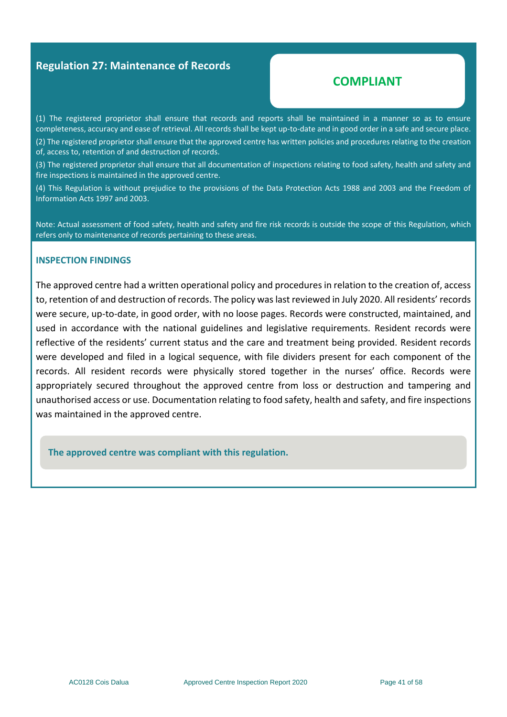#### **Regulation 27: Maintenance of Records**

#### **COMPLIANT**

(1) The registered proprietor shall ensure that records and reports shall be maintained in a manner so as to ensure completeness, accuracy and ease of retrieval. All records shall be kept up-to-date and in good order in a safe and secure place.

(2) The registered proprietor shall ensure that the approved centre has written policies and procedures relating to the creation of, access to, retention of and destruction of records.

(3) The registered proprietor shall ensure that all documentation of inspections relating to food safety, health and safety and fire inspections is maintained in the approved centre.

(4) This Regulation is without prejudice to the provisions of the Data Protection Acts 1988 and 2003 and the Freedom of Information Acts 1997 and 2003.

Note: Actual assessment of food safety, health and safety and fire risk records is outside the scope of this Regulation, which refers only to maintenance of records pertaining to these areas.

#### **INSPECTION FINDINGS**

The approved centre had a written operational policy and procedures in relation to the creation of, access to, retention of and destruction of records. The policy was last reviewed in July 2020. All residents' records were secure, up-to-date, in good order, with no loose pages. Records were constructed, maintained, and used in accordance with the national guidelines and legislative requirements. Resident records were reflective of the residents' current status and the care and treatment being provided. Resident records were developed and filed in a logical sequence, with file dividers present for each component of the records. All resident records were physically stored together in the nurses' office. Records were appropriately secured throughout the approved centre from loss or destruction and tampering and unauthorised access or use. Documentation relating to food safety, health and safety, and fire inspections was maintained in the approved centre.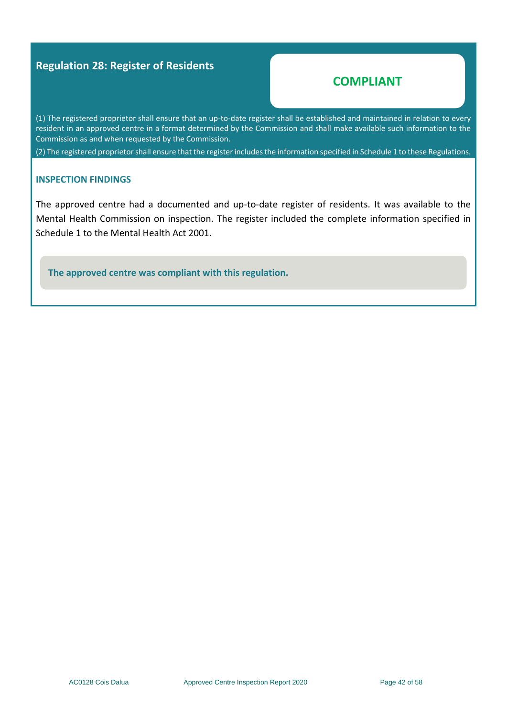#### **Regulation 28: Register of Residents**

#### **COMPLIANT**

(1) The registered proprietor shall ensure that an up-to-date register shall be established and maintained in relation to every resident in an approved centre in a format determined by the Commission and shall make available such information to the Commission as and when requested by the Commission.

(2) The registered proprietor shall ensure that the register includes the information specified in Schedule 1 to these Regulations.

#### **INSPECTION FINDINGS**

The approved centre had a documented and up-to-date register of residents. It was available to the Mental Health Commission on inspection. The register included the complete information specified in Schedule 1 to the Mental Health Act 2001.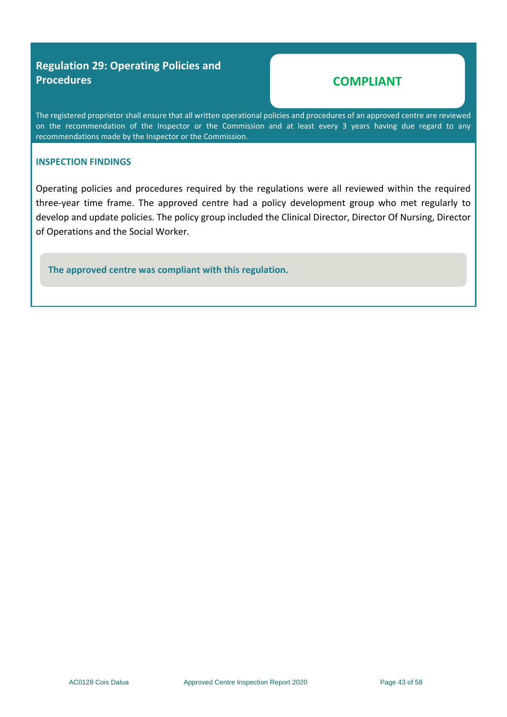### **Regulation 29: Operating Policies and Procedures**

# **COMPLIANT**

The registered proprietor shall ensure that all written operational policies and procedures of an approved centre are reviewed on the recommendation of the Inspector or the Commission and at least every 3 years having due regard to any recommendations made by the Inspector or the Commission.

#### **INSPECTION FINDINGS**

Operating policies and procedures required by the regulations were all reviewed within the required three-year time frame. The approved centre had a policy development group who met regularly to develop and update policies. The policy group included the Clinical Director, Director Of Nursing, Director of Operations and the Social Worker.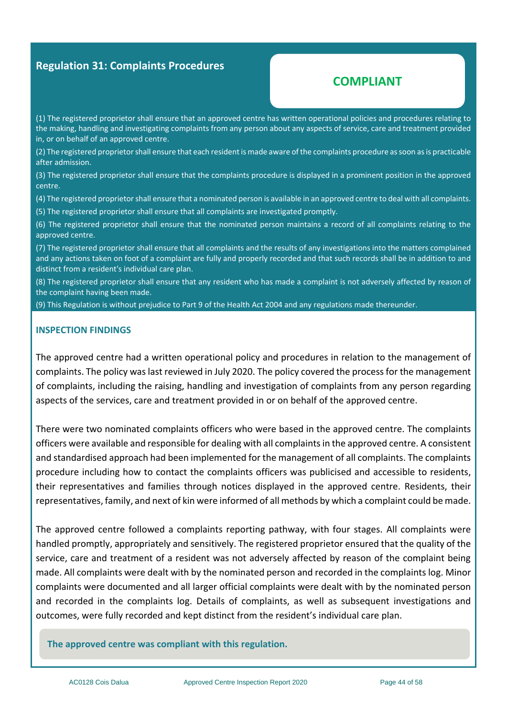#### **Regulation 31: Complaints Procedures**

### **COMPLIANT**

(1) The registered proprietor shall ensure that an approved centre has written operational policies and procedures relating to the making, handling and investigating complaints from any person about any aspects of service, care and treatment provided in, or on behalf of an approved centre.

(2) The registered proprietor shall ensure that each resident is made aware of the complaints procedure as soon as is practicable after admission.

(3) The registered proprietor shall ensure that the complaints procedure is displayed in a prominent position in the approved centre.

(4) The registered proprietor shall ensure that a nominated person is available in an approved centre to deal with all complaints.

(5) The registered proprietor shall ensure that all complaints are investigated promptly.

(6) The registered proprietor shall ensure that the nominated person maintains a record of all complaints relating to the approved centre.

(7) The registered proprietor shall ensure that all complaints and the results of any investigations into the matters complained and any actions taken on foot of a complaint are fully and properly recorded and that such records shall be in addition to and distinct from a resident's individual care plan.

(8) The registered proprietor shall ensure that any resident who has made a complaint is not adversely affected by reason of the complaint having been made.

(9) This Regulation is without prejudice to Part 9 of the Health Act 2004 and any regulations made thereunder.

#### **INSPECTION FINDINGS**

The approved centre had a written operational policy and procedures in relation to the management of complaints. The policy was last reviewed in July 2020. The policy covered the process for the management of complaints, including the raising, handling and investigation of complaints from any person regarding aspects of the services, care and treatment provided in or on behalf of the approved centre.

There were two nominated complaints officers who were based in the approved centre. The complaints officers were available and responsible for dealing with all complaints in the approved centre. A consistent and standardised approach had been implemented for the management of all complaints. The complaints procedure including how to contact the complaints officers was publicised and accessible to residents, their representatives and families through notices displayed in the approved centre. Residents, their representatives, family, and next of kin were informed of all methods by which a complaint could be made.

The approved centre followed a complaints reporting pathway, with four stages. All complaints were handled promptly, appropriately and sensitively. The registered proprietor ensured that the quality of the service, care and treatment of a resident was not adversely affected by reason of the complaint being made. All complaints were dealt with by the nominated person and recorded in the complaints log. Minor complaints were documented and all larger official complaints were dealt with by the nominated person and recorded in the complaints log. Details of complaints, as well as subsequent investigations and outcomes, were fully recorded and kept distinct from the resident's individual care plan.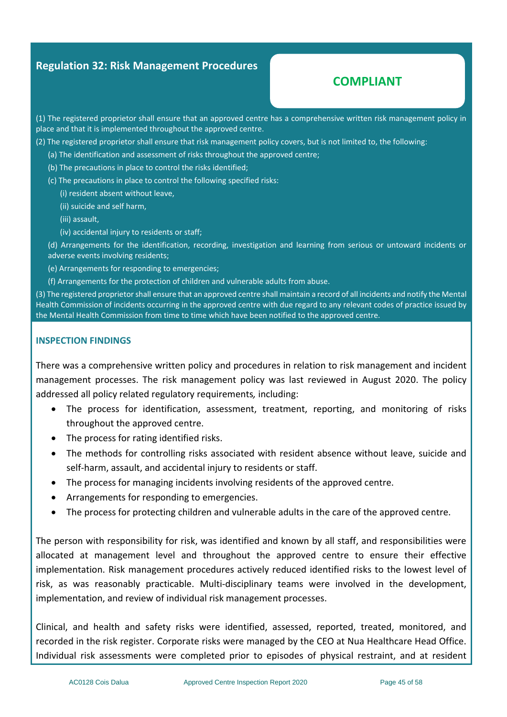#### **Regulation 32: Risk Management Procedures**

# **COMPLIANT**

(1) The registered proprietor shall ensure that an approved centre has a comprehensive written risk management policy in place and that it is implemented throughout the approved centre.

- (2) The registered proprietor shall ensure that risk management policy covers, but is not limited to, the following:
	- (a) The identification and assessment of risks throughout the approved centre;
	- (b) The precautions in place to control the risks identified;
	- (c) The precautions in place to control the following specified risks:
		- (i) resident absent without leave,
		- (ii) suicide and self harm,
		- (iii) assault,
		- (iv) accidental injury to residents or staff;

(d) Arrangements for the identification, recording, investigation and learning from serious or untoward incidents or adverse events involving residents;

- (e) Arrangements for responding to emergencies;
- (f) Arrangements for the protection of children and vulnerable adults from abuse.

(3) The registered proprietor shall ensure that an approved centre shall maintain a record of all incidents and notify the Mental Health Commission of incidents occurring in the approved centre with due regard to any relevant codes of practice issued by the Mental Health Commission from time to time which have been notified to the approved centre.

#### **INSPECTION FINDINGS**

There was a comprehensive written policy and procedures in relation to risk management and incident management processes. The risk management policy was last reviewed in August 2020. The policy addressed all policy related regulatory requirements*,* including:

- The process for identification, assessment, treatment, reporting, and monitoring of risks throughout the approved centre.
- The process for rating identified risks.
- The methods for controlling risks associated with resident absence without leave, suicide and self-harm, assault, and accidental injury to residents or staff.
- The process for managing incidents involving residents of the approved centre.
- Arrangements for responding to emergencies.
- The process for protecting children and vulnerable adults in the care of the approved centre.

The person with responsibility for risk, was identified and known by all staff, and responsibilities were allocated at management level and throughout the approved centre to ensure their effective implementation. Risk management procedures actively reduced identified risks to the lowest level of risk, as was reasonably practicable. Multi-disciplinary teams were involved in the development, implementation, and review of individual risk management processes.

Clinical, and health and safety risks were identified, assessed, reported, treated, monitored, and recorded in the risk register. Corporate risks were managed by the CEO at Nua Healthcare Head Office. Individual risk assessments were completed prior to episodes of physical restraint, and at resident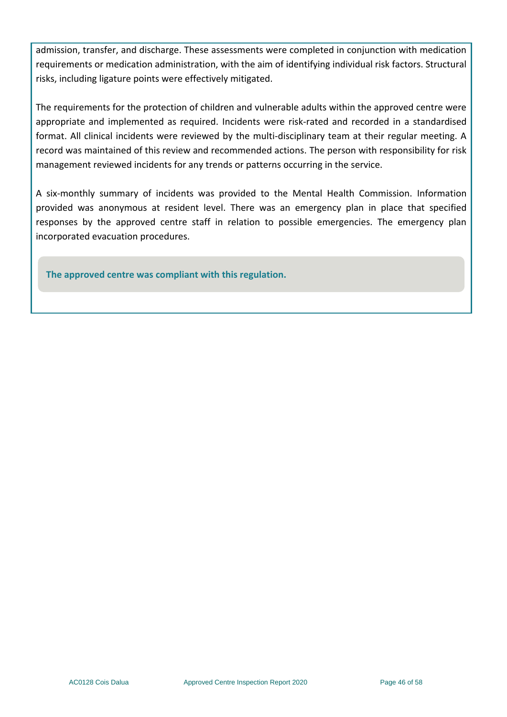admission, transfer, and discharge. These assessments were completed in conjunction with medication requirements or medication administration, with the aim of identifying individual risk factors. Structural risks, including ligature points were effectively mitigated.

The requirements for the protection of children and vulnerable adults within the approved centre were appropriate and implemented as required. Incidents were risk-rated and recorded in a standardised format. All clinical incidents were reviewed by the multi-disciplinary team at their regular meeting. A record was maintained of this review and recommended actions. The person with responsibility for risk management reviewed incidents for any trends or patterns occurring in the service.

A six-monthly summary of incidents was provided to the Mental Health Commission. Information provided was anonymous at resident level. There was an emergency plan in place that specified responses by the approved centre staff in relation to possible emergencies. The emergency plan incorporated evacuation procedures.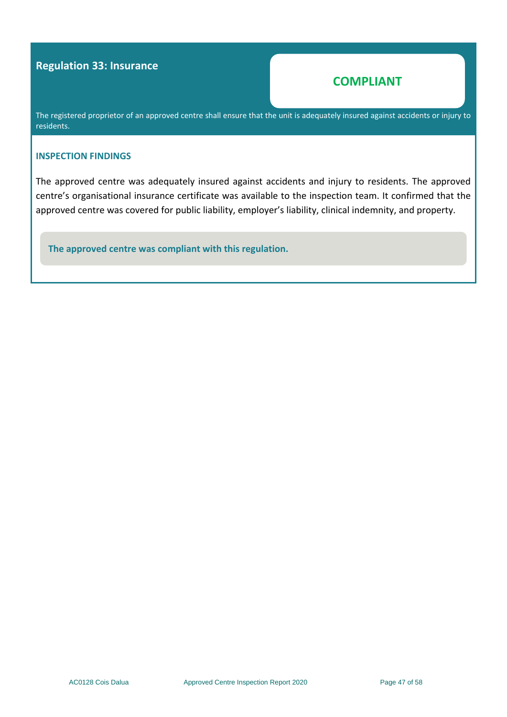#### **Regulation 33: Insurance**

### **COMPLIANT**

The registered proprietor of an approved centre shall ensure that the unit is adequately insured against accidents or injury to residents.

#### **INSPECTION FINDINGS**

The approved centre was adequately insured against accidents and injury to residents. The approved centre's organisational insurance certificate was available to the inspection team. It confirmed that the approved centre was covered for public liability, employer's liability, clinical indemnity, and property.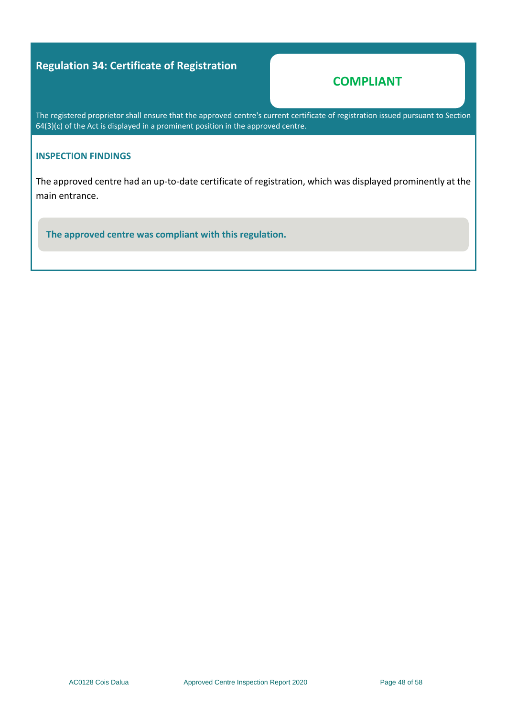### **Regulation 34: Certificate of Registration**

### **COMPLIANT**

The registered proprietor shall ensure that the approved centre's current certificate of registration issued pursuant to Section 64(3)(c) of the Act is displayed in a prominent position in the approved centre.

#### **INSPECTION FINDINGS**

The approved centre had an up-to-date certificate of registration, which was displayed prominently at the main entrance.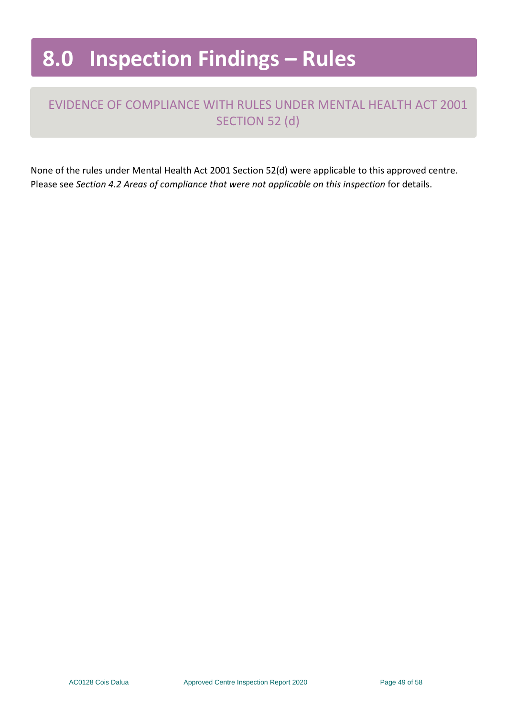# **8.0 Inspection Findings – Rules**

# EVIDENCE OF COMPLIANCE WITH RULES UNDER MENTAL HEALTH ACT 2001 SECTION 52 (d)

None of the rules under Mental Health Act 2001 Section 52(d) were applicable to this approved centre. Please see *Section 4.2 Areas of compliance that were not applicable on this inspection* for details.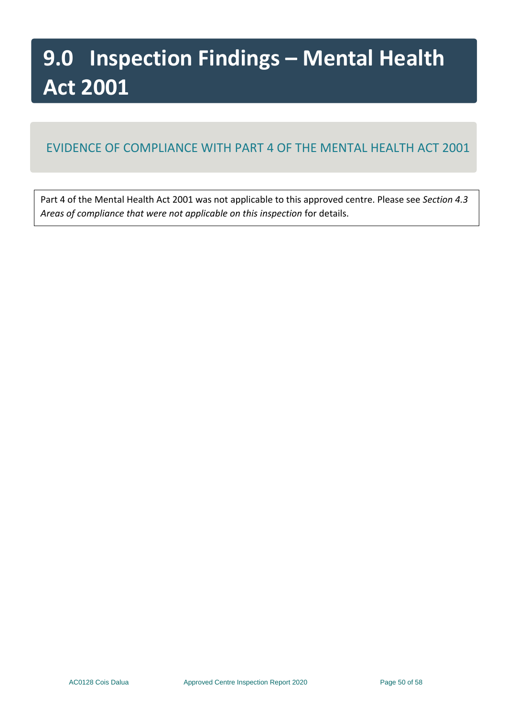# **9.0 Inspection Findings – Mental Health Act 2001**

# EVIDENCE OF COMPLIANCE WITH PART 4 OF THE MENTAL HEALTH ACT 2001

Part 4 of the Mental Health Act 2001 was not applicable to this approved centre. Please see *Section 4.3 Areas of compliance that were not applicable on this inspection* for details.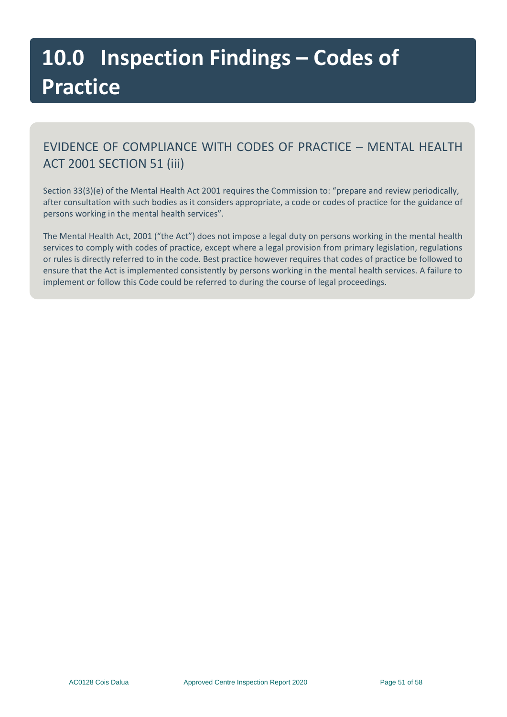# **10.0 Inspection Findings – Codes of Practice**

# EVIDENCE OF COMPLIANCE WITH CODES OF PRACTICE – MENTAL HEALTH ACT 2001 SECTION 51 (iii)

Section 33(3)(e) of the Mental Health Act 2001 requires the Commission to: "prepare and review periodically, after consultation with such bodies as it considers appropriate, a code or codes of practice for the guidance of persons working in the mental health services".

The Mental Health Act, 2001 ("the Act") does not impose a legal duty on persons working in the mental health services to comply with codes of practice, except where a legal provision from primary legislation, regulations or rules is directly referred to in the code. Best practice however requires that codes of practice be followed to ensure that the Act is implemented consistently by persons working in the mental health services. A failure to implement or follow this Code could be referred to during the course of legal proceedings.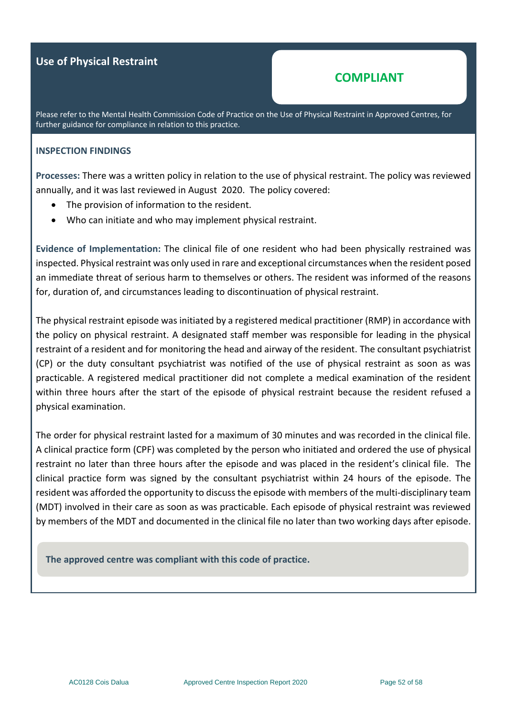#### **Use of Physical Restraint**

#### **COMPLIANT**

Please refer to the Mental Health Commission Code of Practice on the Use of Physical Restraint in Approved Centres, for further guidance for compliance in relation to this practice.

#### **INSPECTION FINDINGS**

**Processes:** There was a written policy in relation to the use of physical restraint. The policy was reviewed annually, and it was last reviewed in August 2020. The policy covered:

- The provision of information to the resident.
- Who can initiate and who may implement physical restraint.

**Evidence of Implementation:** The clinical file of one resident who had been physically restrained was inspected. Physical restraint was only used in rare and exceptional circumstances when the resident posed an immediate threat of serious harm to themselves or others. The resident was informed of the reasons for, duration of, and circumstances leading to discontinuation of physical restraint.

The physical restraint episode was initiated by a registered medical practitioner (RMP) in accordance with the policy on physical restraint. A designated staff member was responsible for leading in the physical restraint of a resident and for monitoring the head and airway of the resident. The consultant psychiatrist (CP) or the duty consultant psychiatrist was notified of the use of physical restraint as soon as was practicable. A registered medical practitioner did not complete a medical examination of the resident within three hours after the start of the episode of physical restraint because the resident refused a physical examination.

The order for physical restraint lasted for a maximum of 30 minutes and was recorded in the clinical file. A clinical practice form (CPF) was completed by the person who initiated and ordered the use of physical restraint no later than three hours after the episode and was placed in the resident's clinical file. The clinical practice form was signed by the consultant psychiatrist within 24 hours of the episode. The resident was afforded the opportunity to discuss the episode with members of the multi-disciplinary team (MDT) involved in their care as soon as was practicable. Each episode of physical restraint was reviewed by members of the MDT and documented in the clinical file no later than two working days after episode.

**The approved centre was compliant with this code of practice.**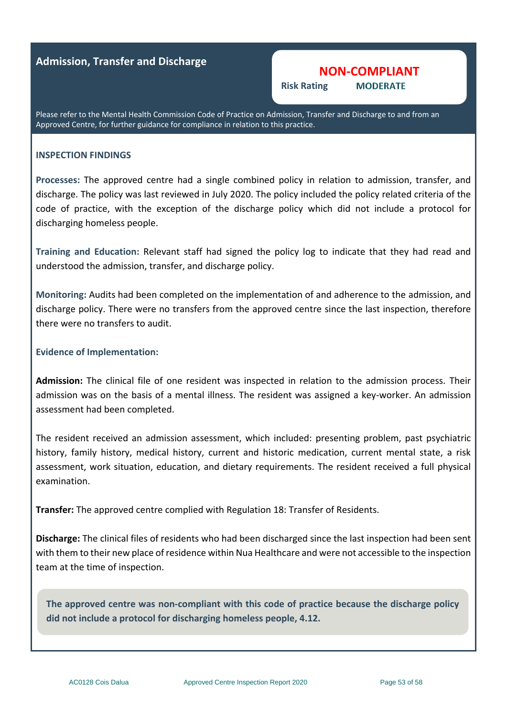#### **Admission, Transfer and Discharge**

#### **NON-COMPLIANT**

**MODERATE Risk Rating** 

Please refer to the Mental Health Commission Code of Practice on Admission, Transfer and Discharge to and from an Approved Centre, for further guidance for compliance in relation to this practice.

#### **INSPECTION FINDINGS**

**Processes:** The approved centre had a single combined policy in relation to admission, transfer, and discharge. The policy was last reviewed in July 2020. The policy included the policy related criteria of the code of practice, with the exception of the discharge policy which did not include a protocol for discharging homeless people.

**Training and Education:** Relevant staff had signed the policy log to indicate that they had read and understood the admission, transfer, and discharge policy.

**Monitoring:** Audits had been completed on the implementation of and adherence to the admission, and discharge policy. There were no transfers from the approved centre since the last inspection, therefore there were no transfers to audit.

#### **Evidence of Implementation:**

**Admission:** The clinical file of one resident was inspected in relation to the admission process. Their admission was on the basis of a mental illness. The resident was assigned a key-worker. An admission assessment had been completed.

The resident received an admission assessment, which included: presenting problem, past psychiatric history, family history, medical history, current and historic medication, current mental state, a risk assessment, work situation, education, and dietary requirements. The resident received a full physical examination.

**Transfer:** The approved centre complied with Regulation 18: Transfer of Residents.

**Discharge:** The clinical files of residents who had been discharged since the last inspection had been sent with them to their new place of residence within Nua Healthcare and were not accessible to the inspection team at the time of inspection.

**The approved centre was non-compliant with this code of practice because the discharge policy did not include a protocol for discharging homeless people, 4.12.**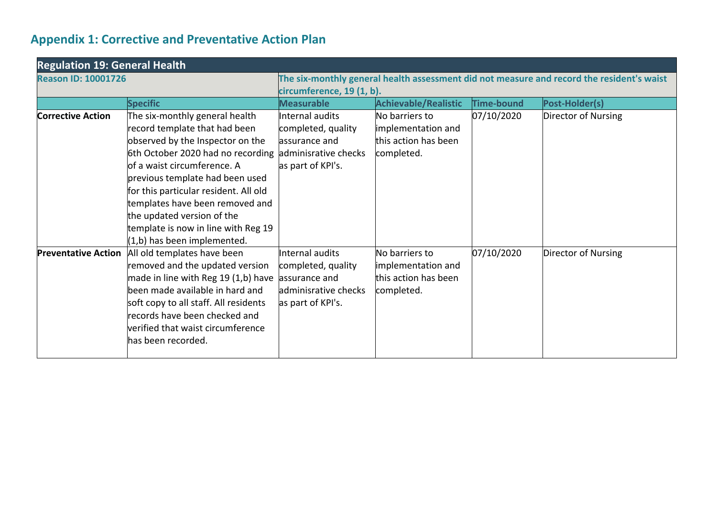# **Appendix 1: Corrective and Preventative Action Plan**

<span id="page-53-0"></span>

| <b>Regulation 19: General Health</b> |                                                                                                                                                                                                                                                                                                                                                                                              |                                                                                                                        |                                                                            |            |                     |  |  |
|--------------------------------------|----------------------------------------------------------------------------------------------------------------------------------------------------------------------------------------------------------------------------------------------------------------------------------------------------------------------------------------------------------------------------------------------|------------------------------------------------------------------------------------------------------------------------|----------------------------------------------------------------------------|------------|---------------------|--|--|
| <b>Reason ID: 10001726</b>           |                                                                                                                                                                                                                                                                                                                                                                                              | The six-monthly general health assessment did not measure and record the resident's waist<br>circumference, 19 (1, b). |                                                                            |            |                     |  |  |
|                                      | <b>Specific</b>                                                                                                                                                                                                                                                                                                                                                                              | <b>Measurable</b>                                                                                                      | <b>Achievable/Realistic</b>                                                | Time-bound | Post-Holder(s)      |  |  |
| <b>Corrective Action</b>             | The six-monthly general health<br>record template that had been<br>observed by the Inspector on the<br>6th October 2020 had no recording<br>of a waist circumference. A<br>previous template had been used<br>for this particular resident. All old<br>templates have been removed and<br>the updated version of the<br>template is now in line with Reg 19<br>$(1,b)$ has been implemented. | Internal audits<br>completed, quality<br>lassurance and<br>adminisrative checks<br>as part of KPI's.                   | No barriers to<br>implementation and<br>this action has been<br>completed. | 07/10/2020 | Director of Nursing |  |  |
| <b>Preventative Action</b>           | All old templates have been<br>removed and the updated version<br>made in line with Reg 19 (1,b) have<br>been made available in hard and<br>soft copy to all staff. All residents<br>records have been checked and<br>verified that waist circumference<br>has been recorded.                                                                                                                | Internal audits<br>completed, quality<br>assurance and<br>adminisrative checks<br>as part of KPI's.                    | No barriers to<br>implementation and<br>this action has been<br>completed. | 07/10/2020 | Director of Nursing |  |  |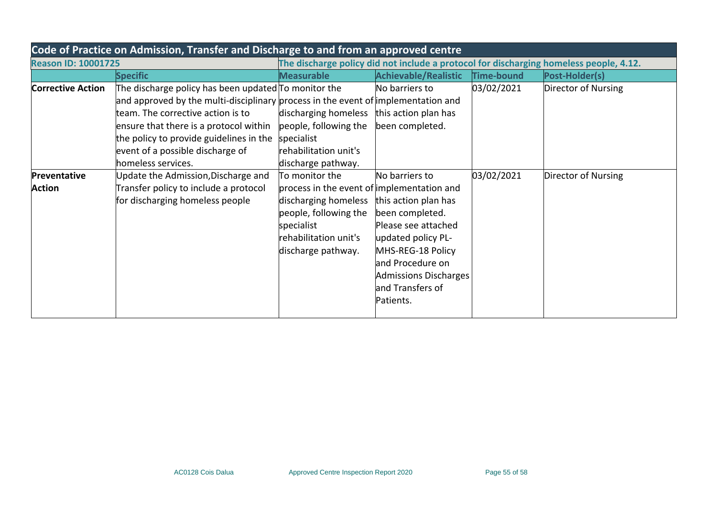| Code of Practice on Admission, Transfer and Discharge to and from an approved centre                                 |                                                                                                                                                                                                                                                                                                                               |                                                                                                                                                                                                 |                                                                                                                                                                                   |                   |                     |  |  |
|----------------------------------------------------------------------------------------------------------------------|-------------------------------------------------------------------------------------------------------------------------------------------------------------------------------------------------------------------------------------------------------------------------------------------------------------------------------|-------------------------------------------------------------------------------------------------------------------------------------------------------------------------------------------------|-----------------------------------------------------------------------------------------------------------------------------------------------------------------------------------|-------------------|---------------------|--|--|
| The discharge policy did not include a protocol for discharging homeless people, 4.12.<br><b>Reason ID: 10001725</b> |                                                                                                                                                                                                                                                                                                                               |                                                                                                                                                                                                 |                                                                                                                                                                                   |                   |                     |  |  |
|                                                                                                                      | <b>Specific</b>                                                                                                                                                                                                                                                                                                               | <b>Measurable</b>                                                                                                                                                                               | <b>Achievable/Realistic</b>                                                                                                                                                       | <b>Time-bound</b> | Post-Holder(s)      |  |  |
| <b>Corrective Action</b>                                                                                             | The discharge policy has been updated To monitor the<br>and approved by the multi-disciplinary process in the event of implementation and<br>team. The corrective action is to<br>ensure that there is a protocol within<br>the policy to provide guidelines in the<br>event of a possible discharge of<br>homeless services. | discharging homeless this action plan has<br>people, following the<br>specialist<br>rehabilitation unit's<br>discharge pathway.                                                                 | No barriers to<br>been completed.                                                                                                                                                 | 03/02/2021        | Director of Nursing |  |  |
| Preventative<br><b>Action</b>                                                                                        | Update the Admission, Discharge and<br>Transfer policy to include a protocol<br>for discharging homeless people                                                                                                                                                                                                               | To monitor the<br>process in the event of implementation and<br>discharging homeless this action plan has<br>people, following the<br>specialist<br>rehabilitation unit's<br>discharge pathway. | No barriers to<br>been completed.<br>Please see attached<br>updated policy PL-<br>MHS-REG-18 Policy<br>and Procedure on<br>Admissions Discharges<br>and Transfers of<br>Patients. | 03/02/2021        | Director of Nursing |  |  |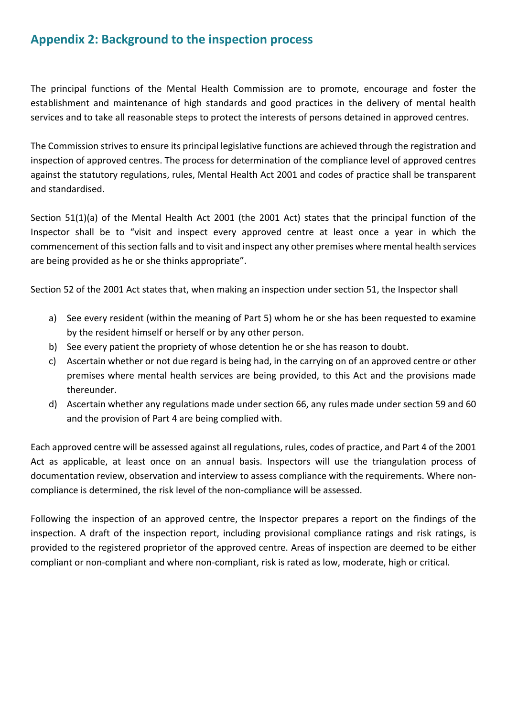# <span id="page-55-0"></span>**Appendix 2: Background to the inspection process**

The principal functions of the Mental Health Commission are to promote, encourage and foster the establishment and maintenance of high standards and good practices in the delivery of mental health services and to take all reasonable steps to protect the interests of persons detained in approved centres.

The Commission strives to ensure its principal legislative functions are achieved through the registration and inspection of approved centres. The process for determination of the compliance level of approved centres against the statutory regulations, rules, Mental Health Act 2001 and codes of practice shall be transparent and standardised.

Section 51(1)(a) of the Mental Health Act 2001 (the 2001 Act) states that the principal function of the Inspector shall be to "visit and inspect every approved centre at least once a year in which the commencement of this section falls and to visit and inspect any other premises where mental health services are being provided as he or she thinks appropriate".

Section 52 of the 2001 Act states that, when making an inspection under section 51, the Inspector shall

- a) See every resident (within the meaning of Part 5) whom he or she has been requested to examine by the resident himself or herself or by any other person.
- b) See every patient the propriety of whose detention he or she has reason to doubt.
- c) Ascertain whether or not due regard is being had, in the carrying on of an approved centre or other premises where mental health services are being provided, to this Act and the provisions made thereunder.
- d) Ascertain whether any regulations made under section 66, any rules made under section 59 and 60 and the provision of Part 4 are being complied with.

Each approved centre will be assessed against all regulations, rules, codes of practice, and Part 4 of the 2001 Act as applicable, at least once on an annual basis. Inspectors will use the triangulation process of documentation review, observation and interview to assess compliance with the requirements. Where noncompliance is determined, the risk level of the non-compliance will be assessed.

Following the inspection of an approved centre, the Inspector prepares a report on the findings of the inspection. A draft of the inspection report, including provisional compliance ratings and risk ratings, is provided to the registered proprietor of the approved centre. Areas of inspection are deemed to be either compliant or non-compliant and where non-compliant, risk is rated as low, moderate, high or critical.